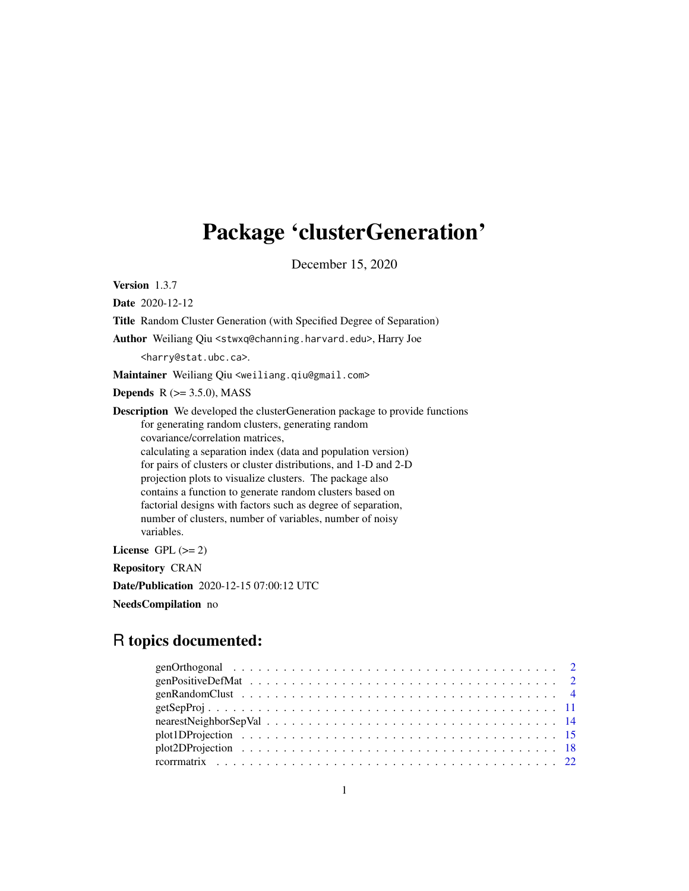## Package 'clusterGeneration'

December 15, 2020

Version 1.3.7

Date 2020-12-12

Title Random Cluster Generation (with Specified Degree of Separation)

Author Weiliang Qiu <stwxq@channing.harvard.edu>, Harry Joe

<harry@stat.ubc.ca>.

Maintainer Weiliang Qiu <weiliang.qiu@gmail.com>

**Depends**  $R$  ( $>= 3.5.0$ ), MASS

Description We developed the clusterGeneration package to provide functions for generating random clusters, generating random covariance/correlation matrices, calculating a separation index (data and population version) for pairs of clusters or cluster distributions, and 1-D and 2-D projection plots to visualize clusters. The package also contains a function to generate random clusters based on factorial designs with factors such as degree of separation, number of clusters, number of variables, number of noisy variables.

License GPL  $(>= 2)$ 

Repository CRAN

Date/Publication 2020-12-15 07:00:12 UTC

NeedsCompilation no

## R topics documented: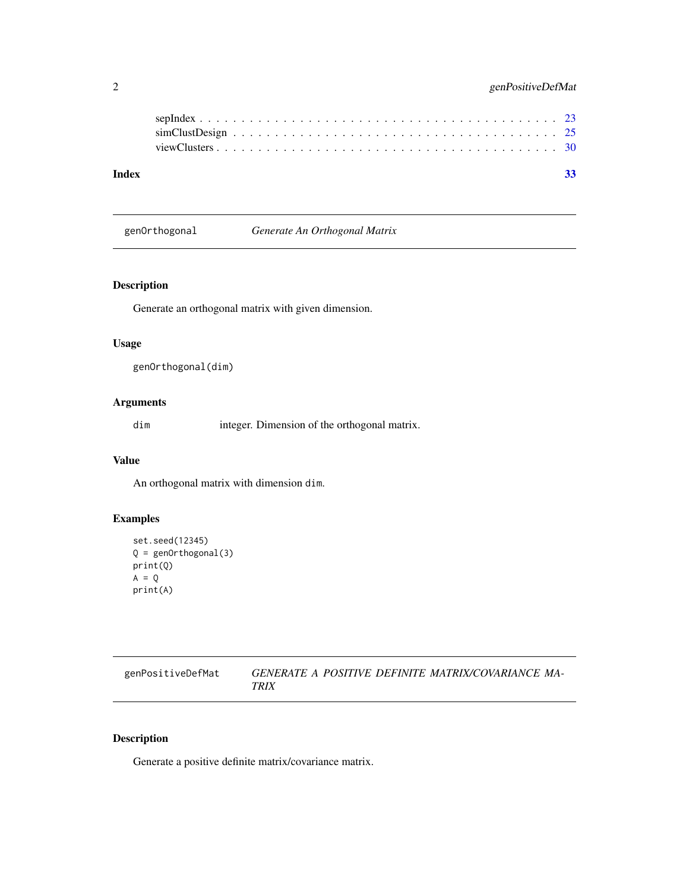<span id="page-1-0"></span>

genOrthogonal *Generate An Orthogonal Matrix*

## Description

Generate an orthogonal matrix with given dimension.

## Usage

```
genOrthogonal(dim)
```
## Arguments

dim integer. Dimension of the orthogonal matrix.

#### Value

An orthogonal matrix with dimension dim.

## Examples

```
set.seed(12345)
Q = genOrthogonal(3)
print(Q)
A = Qprint(A)
```

| genPositiveDefMat | GENERATE A POSITIVE DEFINITE MATRIX/COVARIANCE MA- |
|-------------------|----------------------------------------------------|
|                   | <b>TRIX</b>                                        |

## Description

Generate a positive definite matrix/covariance matrix.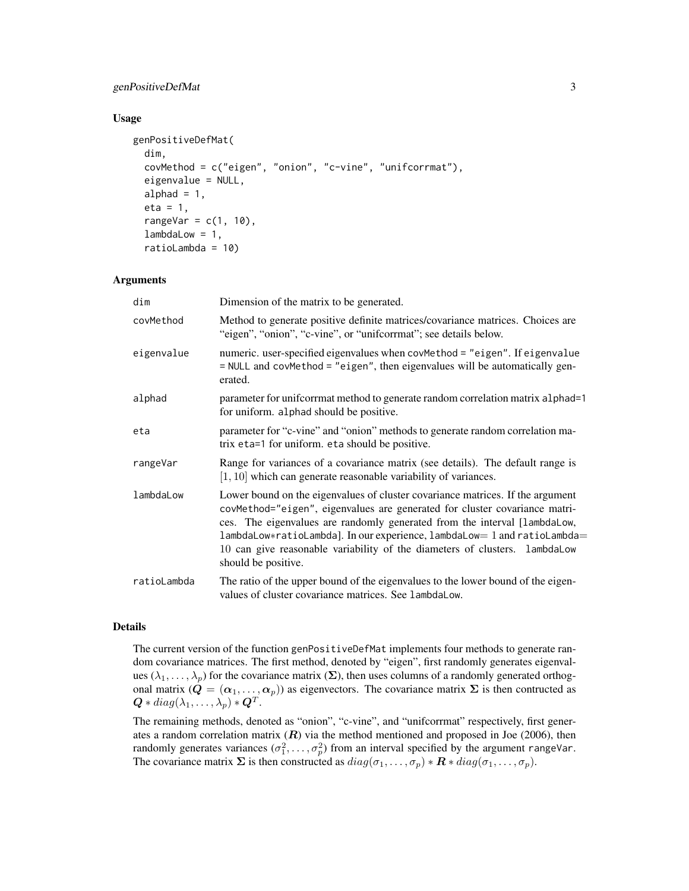## genPositiveDefMat 3

#### Usage

```
genPositiveDefMat(
  dim,
  covMethod = c("eigen", "onion", "c-vine", "unifcorrmat"),
  eigenvalue = NULL,
  alphad = 1,
  eta = 1,
  rangeVar = c(1, 10),
  lambdalow = 1,ratioLambda = 10)
```
#### Arguments

| dim         | Dimension of the matrix to be generated.                                                                                                                                                                                                                                                                                                                                                                                   |
|-------------|----------------------------------------------------------------------------------------------------------------------------------------------------------------------------------------------------------------------------------------------------------------------------------------------------------------------------------------------------------------------------------------------------------------------------|
| covMethod   | Method to generate positive definite matrices/covariance matrices. Choices are<br>"eigen", "onion", "c-vine", or "unifcorrmat"; see details below.                                                                                                                                                                                                                                                                         |
| eigenvalue  | numeric. user-specified eigenvalues when covMethod = "eigen". If eigenvalue<br>= NULL and covMethod = "eigen", then eigenvalues will be automatically gen-<br>erated.                                                                                                                                                                                                                                                      |
| alphad      | parameter for unif corrent method to generate random correlation matrix alphad=1<br>for uniform. alphad should be positive.                                                                                                                                                                                                                                                                                                |
| eta         | parameter for "c-vine" and "onion" methods to generate random correlation ma-<br>trix eta=1 for uniform. eta should be positive.                                                                                                                                                                                                                                                                                           |
| rangeVar    | Range for variances of a covariance matrix (see details). The default range is<br>$[1, 10]$ which can generate reasonable variability of variances.                                                                                                                                                                                                                                                                        |
| lambdaLow   | Lower bound on the eigenvalues of cluster covariance matrices. If the argument<br>covMethod="eigen", eigenvalues are generated for cluster covariance matri-<br>ces. The eigenvalues are randomly generated from the interval [lambdaLow,<br>lambdaLow*ratioLambda]. In our experience, lambdaLow= 1 and ratioLambda=<br>10 can give reasonable variability of the diameters of clusters. lambdaLow<br>should be positive. |
| ratioLambda | The ratio of the upper bound of the eigenvalues to the lower bound of the eigen-<br>values of cluster covariance matrices. See lambdaLow.                                                                                                                                                                                                                                                                                  |

#### Details

The current version of the function genPositiveDefMat implements four methods to generate random covariance matrices. The first method, denoted by "eigen", first randomly generates eigenvalues ( $\lambda_1, \ldots, \lambda_p$ ) for the covariance matrix ( $\Sigma$ ), then uses columns of a randomly generated orthogonal matrix  $(Q = (\alpha_1, \ldots, \alpha_p))$  as eigenvectors. The covariance matrix  $\Sigma$  is then contructed as  $\bm{Q}*diag(\lambda_1,\dots,\lambda_p)*\bm{Q}^T.$ 

The remaining methods, denoted as "onion", "c-vine", and "unifcorrmat" respectively, first generates a random correlation matrix  $(R)$  via the method mentioned and proposed in Joe (2006), then randomly generates variances  $(\sigma_1^2, \ldots, \sigma_p^2)$  from an interval specified by the argument rangeVar. The covariance matrix  $\Sigma$  is then constructed as  $diag(\sigma_1, \ldots, \sigma_p) * \mathbf{R} * diag(\sigma_1, \ldots, \sigma_p)$ .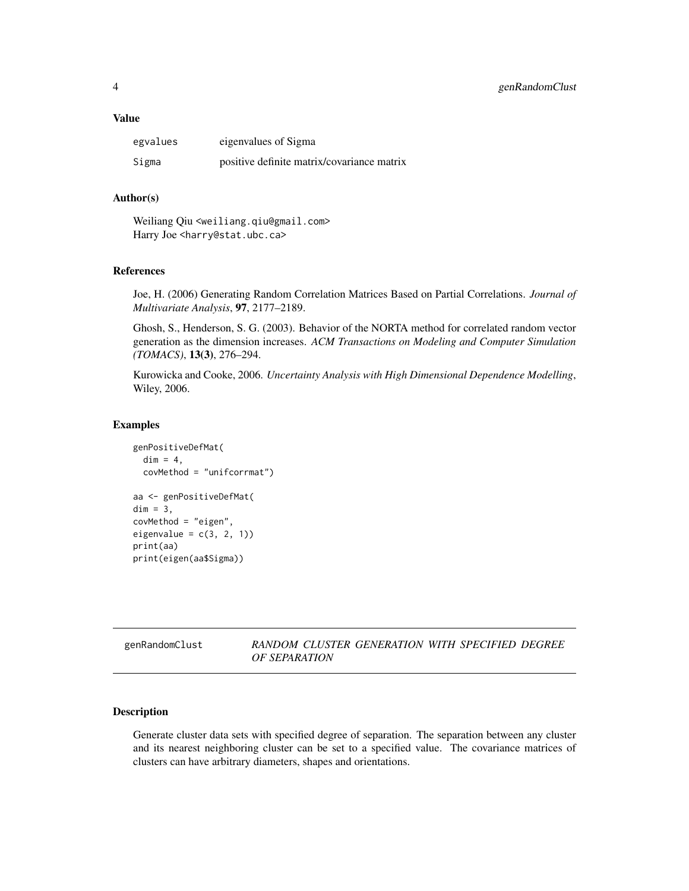#### <span id="page-3-0"></span>Value

| egvalues | eigenvalues of Sigma                       |
|----------|--------------------------------------------|
| Sigma    | positive definite matrix/covariance matrix |

#### Author(s)

Weiliang Qiu <weiliang.qiu@gmail.com> Harry Joe <harry@stat.ubc.ca>

### References

Joe, H. (2006) Generating Random Correlation Matrices Based on Partial Correlations. *Journal of Multivariate Analysis*, 97, 2177–2189.

Ghosh, S., Henderson, S. G. (2003). Behavior of the NORTA method for correlated random vector generation as the dimension increases. *ACM Transactions on Modeling and Computer Simulation (TOMACS)*, 13(3), 276–294.

Kurowicka and Cooke, 2006. *Uncertainty Analysis with High Dimensional Dependence Modelling*, Wiley, 2006.

#### Examples

```
genPositiveDefMat(
 dim = 4,
 covMethod = "unifcorrmat")
aa <- genPositiveDefMat(
dim = 3,
covMethod = "eigen",
eigenvalue = c(3, 2, 1))
print(aa)
print(eigen(aa$Sigma))
```
## genRandomClust *RANDOM CLUSTER GENERATION WITH SPECIFIED DEGREE OF SEPARATION*

#### Description

Generate cluster data sets with specified degree of separation. The separation between any cluster and its nearest neighboring cluster can be set to a specified value. The covariance matrices of clusters can have arbitrary diameters, shapes and orientations.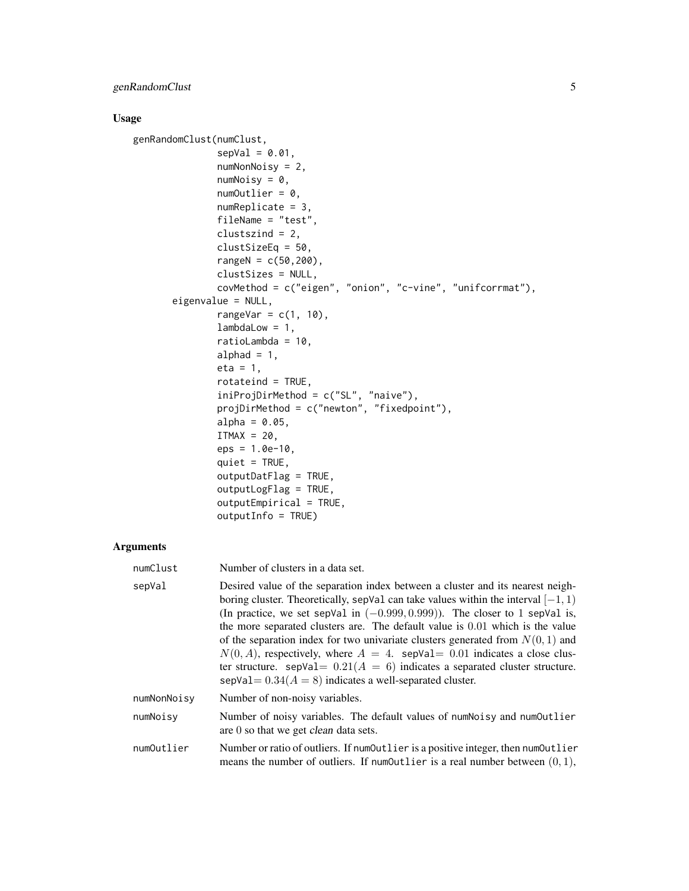## genRandomClust 5

## Usage

```
genRandomClust(numClust,
               sepVal = 0.01,
               numNonNoisy = 2,
               numNoisy = 0,
               numOutputlier = 0,
               numReplicate = 3,
               fileName = "test",
               clustszind = 2,
               clustSizeEq = 50,
               rangeN = c(50, 200),
               clustSizes = NULL,
               covMethod = c("eigen", "onion", "c-vine", "unifcorrmat"),
       eigenvalue = NULL,
               rangeVar = c(1, 10),
               lambdaLow = 1,ratioLambda = 10,
               alphad = 1,
               eta = 1,
               rotateind = TRUE,
               iniProjDirMethod = c("SL", "naive"),
               projDirMethod = c("newton", "fixedpoint"),
               alpha = 0.05,
               ITMAX = 20,eps = 1.0e-10,quiet = TRUE,
               outputDatFlag = TRUE,
               outputLogFlag = TRUE,
               outputEmpirical = TRUE,
               outputInfo = TRUE)
```
## Arguments

| numClust    | Number of clusters in a data set.                                                                                                                                                                                                                                                                                                                                                                                                                                                                                                                                                                                                                                 |
|-------------|-------------------------------------------------------------------------------------------------------------------------------------------------------------------------------------------------------------------------------------------------------------------------------------------------------------------------------------------------------------------------------------------------------------------------------------------------------------------------------------------------------------------------------------------------------------------------------------------------------------------------------------------------------------------|
| sepVal      | Desired value of the separation index between a cluster and its nearest neigh-<br>boring cluster. Theoretically, sepVal can take values within the interval $[-1, 1)$<br>(In practice, we set sepVal in $(-0.999, 0.999)$ ). The closer to 1 sepVal is,<br>the more separated clusters are. The default value is $0.01$ which is the value<br>of the separation index for two univariate clusters generated from $N(0, 1)$ and<br>$N(0, A)$ , respectively, where $A = 4$ . sepVal= 0.01 indicates a close clus-<br>ter structure. sep $Val = 0.21(A = 6)$ indicates a separated cluster structure.<br>sepVal = $0.34(A = 8)$ indicates a well-separated cluster. |
| numNonNoisy | Number of non-noisy variables.                                                                                                                                                                                                                                                                                                                                                                                                                                                                                                                                                                                                                                    |
| numNoisy    | Number of noisy variables. The default values of numNoisy and numOutlier<br>are $0$ so that we get <i>clean</i> data sets.                                                                                                                                                                                                                                                                                                                                                                                                                                                                                                                                        |
| numOutlier  | Number or ratio of outliers. If numOutlier is a positive integer, then numOutlier<br>means the number of outliers. If number is a real number between $(0, 1)$ ,                                                                                                                                                                                                                                                                                                                                                                                                                                                                                                  |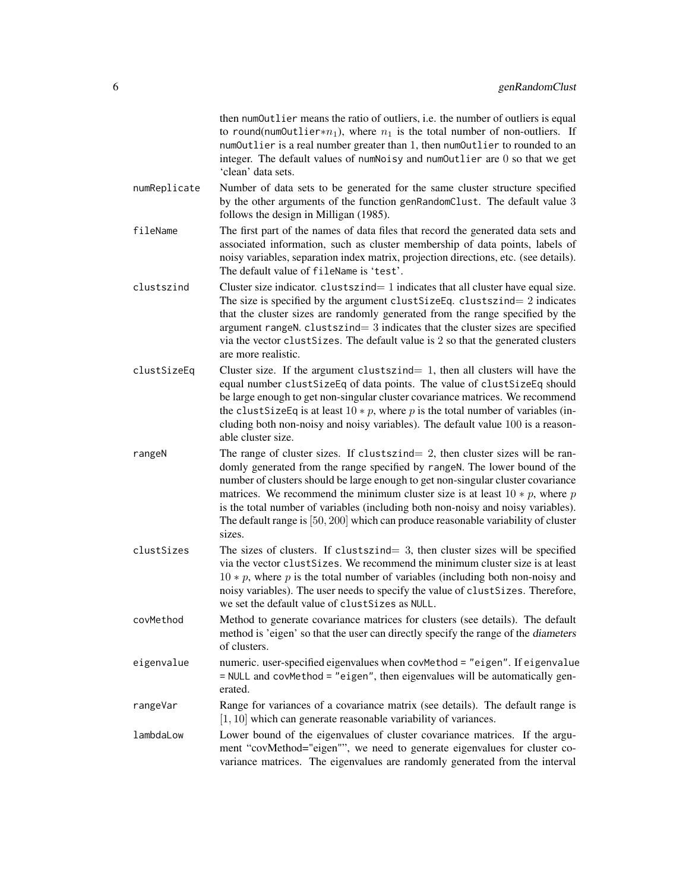|              | then numOutlier means the ratio of outliers, i.e. the number of outliers is equal<br>to round(num0utlier* $n_1$ ), where $n_1$ is the total number of non-outliers. If                                                                                                                                                                                                                                                                                                                                                      |
|--------------|-----------------------------------------------------------------------------------------------------------------------------------------------------------------------------------------------------------------------------------------------------------------------------------------------------------------------------------------------------------------------------------------------------------------------------------------------------------------------------------------------------------------------------|
|              | numOutlier is a real number greater than 1, then numOutlier to rounded to an                                                                                                                                                                                                                                                                                                                                                                                                                                                |
|              | integer. The default values of numNoisy and numOutlier are 0 so that we get<br>'clean' data sets.                                                                                                                                                                                                                                                                                                                                                                                                                           |
| numReplicate | Number of data sets to be generated for the same cluster structure specified<br>by the other arguments of the function genRandomClust. The default value 3<br>follows the design in Milligan (1985).                                                                                                                                                                                                                                                                                                                        |
| fileName     | The first part of the names of data files that record the generated data sets and<br>associated information, such as cluster membership of data points, labels of<br>noisy variables, separation index matrix, projection directions, etc. (see details).<br>The default value of fileName is 'test'.                                                                                                                                                                                                                       |
| clustszind   | Cluster size indicator. clustszind= 1 indicates that all cluster have equal size.<br>The size is specified by the argument clust Size Eq. clusts $z$ indicates<br>that the cluster sizes are randomly generated from the range specified by the<br>argument rangeN. $cluster = 3$ indicates that the cluster sizes are specified<br>via the vector clustSizes. The default value is 2 so that the generated clusters<br>are more realistic.                                                                                 |
| clustSizeEq  | Cluster size. If the argument clustszind $= 1$ , then all clusters will have the<br>equal number clustSizeEq of data points. The value of clustSizeEq should<br>be large enough to get non-singular cluster covariance matrices. We recommend<br>the clust Size Eq is at least $10 * p$ , where p is the total number of variables (in-<br>cluding both non-noisy and noisy variables). The default value 100 is a reason-<br>able cluster size.                                                                            |
| rangeN       | The range of cluster sizes. If clustszind $= 2$ , then cluster sizes will be ran-<br>domly generated from the range specified by rangeN. The lower bound of the<br>number of clusters should be large enough to get non-singular cluster covariance<br>matrices. We recommend the minimum cluster size is at least $10 * p$ , where p<br>is the total number of variables (including both non-noisy and noisy variables).<br>The default range is $[50, 200]$ which can produce reasonable variability of cluster<br>sizes. |
| clustSizes   | The sizes of clusters. If clustszind= $3$ , then cluster sizes will be specified<br>via the vector clust Sizes. We recommend the minimum cluster size is at least<br>$10 * p$ , where p is the total number of variables (including both non-noisy and<br>noisy variables). The user needs to specify the value of clustSizes. Therefore,<br>we set the default value of clustSizes as NULL.                                                                                                                                |
| covMethod    | Method to generate covariance matrices for clusters (see details). The default<br>method is 'eigen' so that the user can directly specify the range of the diameters<br>of clusters.                                                                                                                                                                                                                                                                                                                                        |
| eigenvalue   | numeric. user-specified eigenvalues when covMethod = "eigen". If eigenvalue<br>= NULL and covMethod = "eigen", then eigenvalues will be automatically gen-<br>erated.                                                                                                                                                                                                                                                                                                                                                       |
| rangeVar     | Range for variances of a covariance matrix (see details). The default range is<br>$[1, 10]$ which can generate reasonable variability of variances.                                                                                                                                                                                                                                                                                                                                                                         |
| lambdaLow    | Lower bound of the eigenvalues of cluster covariance matrices. If the argu-<br>ment "covMethod="eigen"", we need to generate eigenvalues for cluster co-<br>variance matrices. The eigenvalues are randomly generated from the interval                                                                                                                                                                                                                                                                                     |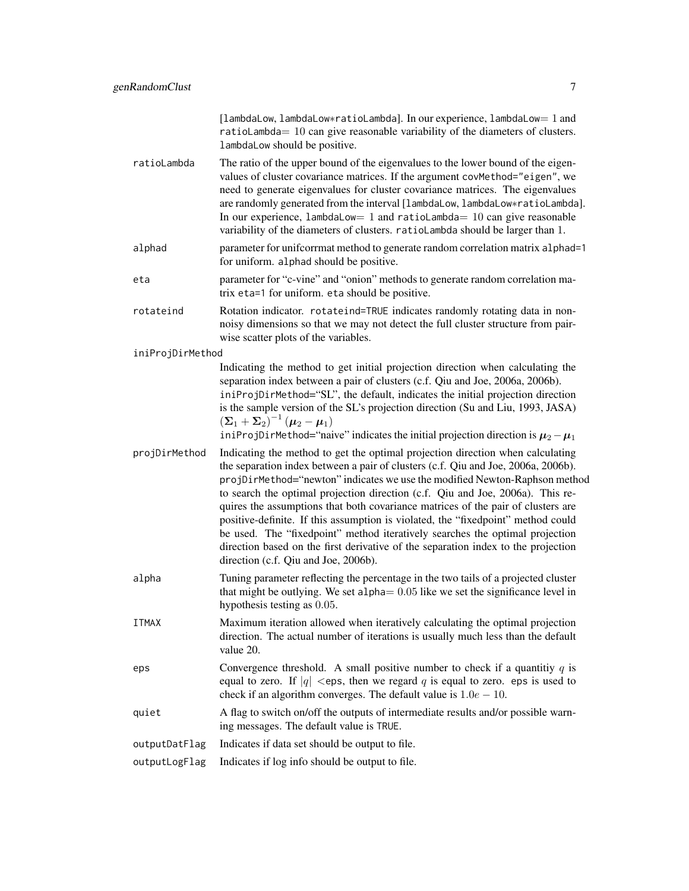|                  | [lambdaLow, lambdaLow*ratioLambda]. In our experience, lambdaLow= 1 and<br>ratioLambda= 10 can give reasonable variability of the diameters of clusters.<br>lambdaLow should be positive.                                                                                                                                                                                                                                                                                                                                                                                                                                                                                                                                |
|------------------|--------------------------------------------------------------------------------------------------------------------------------------------------------------------------------------------------------------------------------------------------------------------------------------------------------------------------------------------------------------------------------------------------------------------------------------------------------------------------------------------------------------------------------------------------------------------------------------------------------------------------------------------------------------------------------------------------------------------------|
| ratioLambda      | The ratio of the upper bound of the eigenvalues to the lower bound of the eigen-<br>values of cluster covariance matrices. If the argument covMethod="eigen", we<br>need to generate eigenvalues for cluster covariance matrices. The eigenvalues<br>are randomly generated from the interval [lambdaLow, lambdaLow*ratioLambda].<br>In our experience, $l$ ambdaLow= 1 and ratioLambda= 10 can give reasonable<br>variability of the diameters of clusters. ratioLambda should be larger than 1.                                                                                                                                                                                                                        |
| alphad           | parameter for unifcorrmat method to generate random correlation matrix alphad=1<br>for uniform. alphad should be positive.                                                                                                                                                                                                                                                                                                                                                                                                                                                                                                                                                                                               |
| eta              | parameter for "c-vine" and "onion" methods to generate random correlation ma-<br>trix eta=1 for uniform. eta should be positive.                                                                                                                                                                                                                                                                                                                                                                                                                                                                                                                                                                                         |
| rotateind        | Rotation indicator. rotateind=TRUE indicates randomly rotating data in non-<br>noisy dimensions so that we may not detect the full cluster structure from pair-<br>wise scatter plots of the variables.                                                                                                                                                                                                                                                                                                                                                                                                                                                                                                                  |
| iniProjDirMethod |                                                                                                                                                                                                                                                                                                                                                                                                                                                                                                                                                                                                                                                                                                                          |
|                  | Indicating the method to get initial projection direction when calculating the<br>separation index between a pair of clusters (c.f. Qiu and Joe, 2006a, 2006b).<br>iniProjDirMethod="SL", the default, indicates the initial projection direction<br>is the sample version of the SL's projection direction (Su and Liu, 1993, JASA)<br>$(\Sigma_1 + \Sigma_2)^{-1}$ $(\mu_2 - \mu_1)$<br>iniProjDirMethod="naive" indicates the initial projection direction is $\mu_2 - \mu_1$                                                                                                                                                                                                                                         |
| projDirMethod    | Indicating the method to get the optimal projection direction when calculating<br>the separation index between a pair of clusters (c.f. Qiu and Joe, 2006a, 2006b).<br>projDirMethod="newton" indicates we use the modified Newton-Raphson method<br>to search the optimal projection direction (c.f. Qiu and Joe, 2006a). This re-<br>quires the assumptions that both covariance matrices of the pair of clusters are<br>positive-definite. If this assumption is violated, the "fixedpoint" method could<br>be used. The "fixedpoint" method iteratively searches the optimal projection<br>direction based on the first derivative of the separation index to the projection<br>direction (c.f. Qiu and Joe, 2006b). |
| alpha            | Tuning parameter reflecting the percentage in the two tails of a projected cluster<br>that might be outlying. We set alpha $= 0.05$ like we set the significance level in<br>hypothesis testing as 0.05.                                                                                                                                                                                                                                                                                                                                                                                                                                                                                                                 |
| <b>ITMAX</b>     | Maximum iteration allowed when iteratively calculating the optimal projection<br>direction. The actual number of iterations is usually much less than the default<br>value 20.                                                                                                                                                                                                                                                                                                                                                                                                                                                                                                                                           |
| eps              | Convergence threshold. A small positive number to check if a quantitiy $q$ is<br>equal to zero. If $ q  <$ eps, then we regard q is equal to zero. eps is used to<br>check if an algorithm converges. The default value is $1.0e - 10$ .                                                                                                                                                                                                                                                                                                                                                                                                                                                                                 |
| quiet            | A flag to switch on/off the outputs of intermediate results and/or possible warn-<br>ing messages. The default value is TRUE.                                                                                                                                                                                                                                                                                                                                                                                                                                                                                                                                                                                            |
| outputDatFlag    | Indicates if data set should be output to file.                                                                                                                                                                                                                                                                                                                                                                                                                                                                                                                                                                                                                                                                          |
| outputLogFlag    | Indicates if log info should be output to file.                                                                                                                                                                                                                                                                                                                                                                                                                                                                                                                                                                                                                                                                          |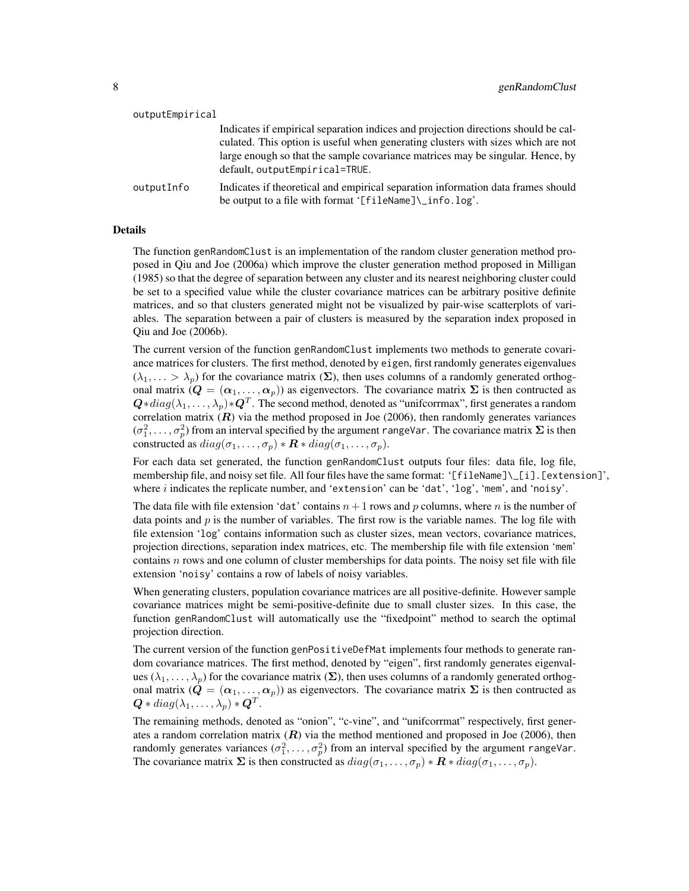| outputEmpirical |                                                                                                                                             |
|-----------------|---------------------------------------------------------------------------------------------------------------------------------------------|
|                 | Indicates if empirical separation indices and projection directions should be cal-                                                          |
|                 | culated. This option is useful when generating clusters with sizes which are not                                                            |
|                 | large enough so that the sample covariance matrices may be singular. Hence, by<br>default, outputEmpirical=TRUE.                            |
| outputInfo      | Indicates if theoretical and empirical separation information data frames should<br>be output to a file with format '[fileName]\_info.log'. |

#### Details

The function genRandomClust is an implementation of the random cluster generation method proposed in Qiu and Joe (2006a) which improve the cluster generation method proposed in Milligan (1985) so that the degree of separation between any cluster and its nearest neighboring cluster could be set to a specified value while the cluster covariance matrices can be arbitrary positive definite matrices, and so that clusters generated might not be visualized by pair-wise scatterplots of variables. The separation between a pair of clusters is measured by the separation index proposed in Qiu and Joe (2006b).

The current version of the function genRandomClust implements two methods to generate covariance matrices for clusters. The first method, denoted by eigen, first randomly generates eigenvalues  $(\lambda_1, \ldots > \lambda_p)$  for the covariance matrix  $(\Sigma)$ , then uses columns of a randomly generated orthogonal matrix  $(Q = (\alpha_1, \dots, \alpha_p))$  as eigenvectors. The covariance matrix  $\Sigma$  is then contructed as  $\bm{Q}*diag(\lambda_1,\dots,\lambda_p)*\bm{Q}^T.$  The second method, denoted as "unifcorrmax", first generates a random correlation matrix  $(R)$  via the method proposed in Joe (2006), then randomly generates variances  $(\sigma_1^2, \ldots, \sigma_p^2)$  from an interval specified by the argument rangeVar. The covariance matrix  $\Sigma$  is then constructed as  $diag(\sigma_1, \ldots, \sigma_p) * \mathbf{R} * diag(\sigma_1, \ldots, \sigma_p)$ .

For each data set generated, the function genRandomClust outputs four files: data file, log file, membership file, and noisy set file. All four files have the same format: '[fileName]\\_[i].[extension]', where  $i$  indicates the replicate number, and 'extension' can be 'dat', ' $log$ ', 'mem', and 'noisy'.

The data file with file extension 'dat' contains  $n+1$  rows and p columns, where n is the number of data points and  $p$  is the number of variables. The first row is the variable names. The log file with file extension 'log' contains information such as cluster sizes, mean vectors, covariance matrices, projection directions, separation index matrices, etc. The membership file with file extension 'mem' contains  $n$  rows and one column of cluster memberships for data points. The noisy set file with file extension 'noisy' contains a row of labels of noisy variables.

When generating clusters, population covariance matrices are all positive-definite. However sample covariance matrices might be semi-positive-definite due to small cluster sizes. In this case, the function genRandomClust will automatically use the "fixedpoint" method to search the optimal projection direction.

The current version of the function genPositiveDefMat implements four methods to generate random covariance matrices. The first method, denoted by "eigen", first randomly generates eigenvalues  $(\lambda_1, \ldots, \lambda_n)$  for the covariance matrix  $(\Sigma)$ , then uses columns of a randomly generated orthogonal matrix  $(Q = (\alpha_1, \ldots, \alpha_p))$  as eigenvectors. The covariance matrix  $\Sigma$  is then contructed as  $\bm{Q}*diag(\lambda_1,\ldots,\lambda_p)*\bm{Q}^T.$ 

The remaining methods, denoted as "onion", "c-vine", and "unifcorrmat" respectively, first generates a random correlation matrix  $(R)$  via the method mentioned and proposed in Joe (2006), then randomly generates variances  $(\sigma_1^2, \ldots, \sigma_p^2)$  from an interval specified by the argument rangeVar. The covariance matrix  $\Sigma$  is then constructed as  $diag(\sigma_1, \ldots, \sigma_p) * \mathbf{R} * diag(\sigma_1, \ldots, \sigma_p)$ .

 $\mathbf{v} = \mathbf{v} \cdot \mathbf{v}$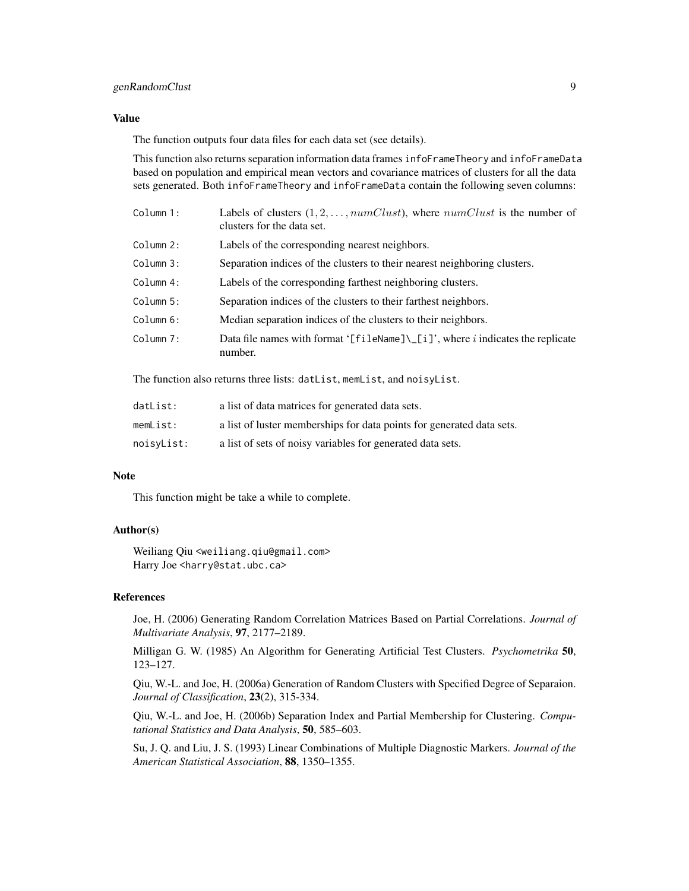## genRandomClust 9

#### Value

The function outputs four data files for each data set (see details).

This function also returns separation information data frames infoFrameTheory and infoFrameData based on population and empirical mean vectors and covariance matrices of clusters for all the data sets generated. Both infoFrameTheory and infoFrameData contain the following seven columns:

| Column 1: | Labels of clusters $(1, 2, \ldots, numClust)$ , where $numClust$ is the number of<br>clusters for the data set. |
|-----------|-----------------------------------------------------------------------------------------------------------------|
| Column 2: | Labels of the corresponding nearest neighbors.                                                                  |
| Column 3: | Separation indices of the clusters to their nearest neighboring clusters.                                       |
| Column 4: | Labels of the corresponding farthest neighboring clusters.                                                      |
| Column 5: | Separation indices of the clusters to their farthest neighbors.                                                 |
| Column 6: | Median separation indices of the clusters to their neighbors.                                                   |
| Column 7: | Data file names with format '[fileName] $\[\cup\]$ ', where <i>i</i> indicates the replicate<br>number.         |

The function also returns three lists: datList, memList, and noisyList.

| datList:   | a list of data matrices for generated data sets.                      |
|------------|-----------------------------------------------------------------------|
| memList:   | a list of luster memberships for data points for generated data sets. |
| noisyList: | a list of sets of noisy variables for generated data sets.            |

#### Note

This function might be take a while to complete.

#### Author(s)

Weiliang Qiu <weiliang.qiu@gmail.com> Harry Joe <harry@stat.ubc.ca>

#### References

Joe, H. (2006) Generating Random Correlation Matrices Based on Partial Correlations. *Journal of Multivariate Analysis*, 97, 2177–2189.

Milligan G. W. (1985) An Algorithm for Generating Artificial Test Clusters. *Psychometrika* 50, 123–127.

Qiu, W.-L. and Joe, H. (2006a) Generation of Random Clusters with Specified Degree of Separaion. *Journal of Classification*, 23(2), 315-334.

Qiu, W.-L. and Joe, H. (2006b) Separation Index and Partial Membership for Clustering. *Computational Statistics and Data Analysis*, 50, 585–603.

Su, J. Q. and Liu, J. S. (1993) Linear Combinations of Multiple Diagnostic Markers. *Journal of the American Statistical Association*, 88, 1350–1355.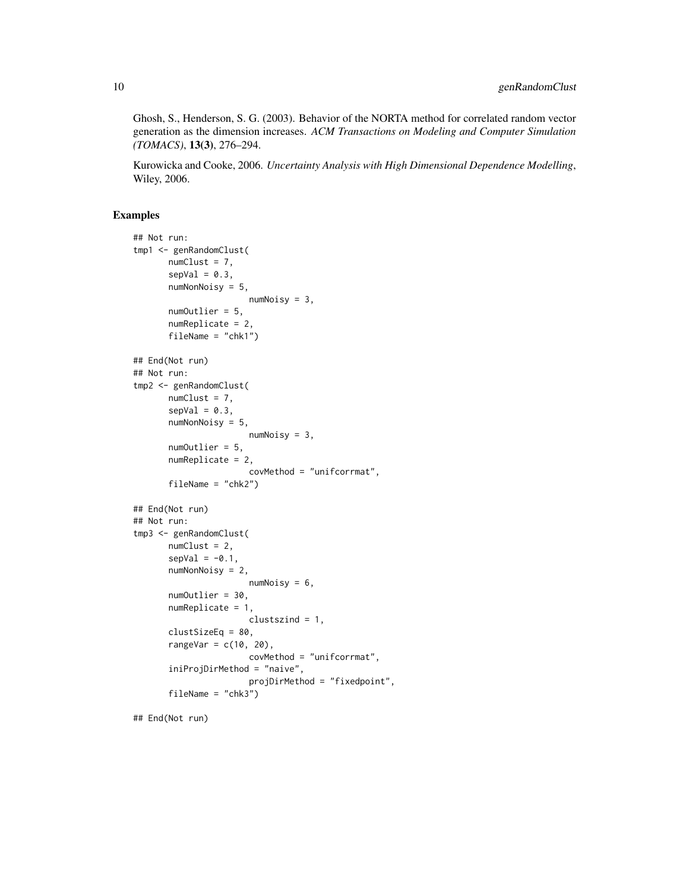Ghosh, S., Henderson, S. G. (2003). Behavior of the NORTA method for correlated random vector generation as the dimension increases. *ACM Transactions on Modeling and Computer Simulation (TOMACS)*, 13(3), 276–294.

Kurowicka and Cooke, 2006. *Uncertainty Analysis with High Dimensional Dependence Modelling*, Wiley, 2006.

#### Examples

```
## Not run:
tmp1 <- genRandomClust(
      numClust = 7,
       sepVal = 0.3,
       numNonNoisy = 5,
                       numNoisy = 3,
       numOutlier = 5,
       numReplicate = 2,
       fileName = "chk1")
## End(Not run)
## Not run:
tmp2 <- genRandomClust(
       numCluster = 7,
       sepVal = 0.3,
       numNonNoisy = 5,
                       numNoisy = 3,
       numOutlier = 5,
       numReplicate = 2,
                       covMethod = "unifcorrmat",
       fileName = "chk2")
## End(Not run)
## Not run:
tmp3 <- genRandomClust(
       numClust = 2,
       sepVal = -0.1,
       numNonNoisy = 2,
                       numNoisy = 6,
       numOutlier = 30,
       numReplicate = 1,
                       clustszind = 1,
       clustSizeEq = 80,
       rangeVar = c(10, 20),
                       covMethod = "unifcorrmat",
       iniProjDirMethod = "naive",
                       projDirMethod = "fixedpoint",
       fileName = "chk3")
```
## End(Not run)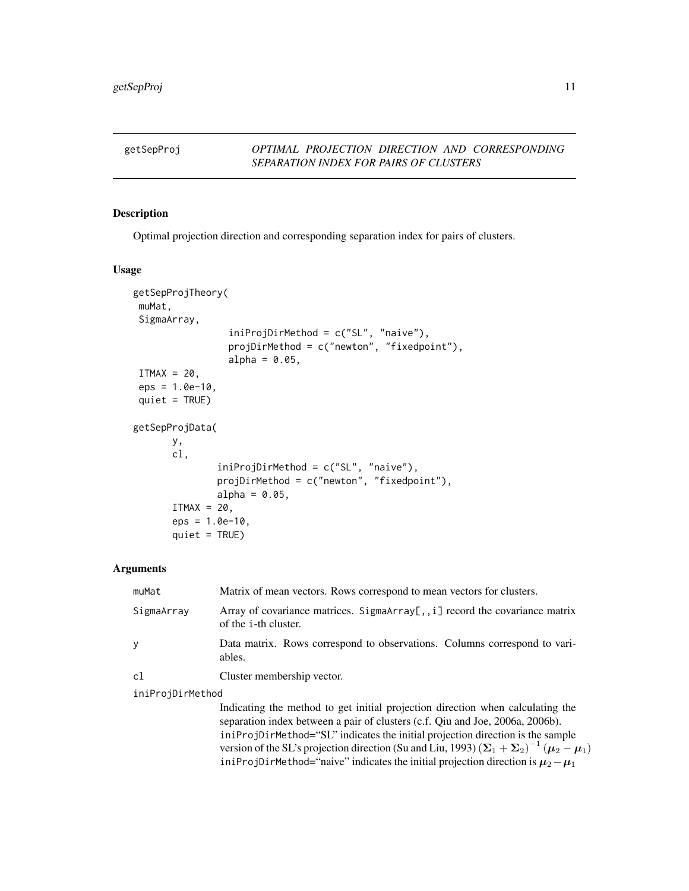## <span id="page-10-0"></span>getSepProj *OPTIMAL PROJECTION DIRECTION AND CORRESPONDING SEPARATION INDEX FOR PAIRS OF CLUSTERS*

#### Description

Optimal projection direction and corresponding separation index for pairs of clusters.

#### Usage

```
getSepProjTheory(
muMat,
SigmaArray,
                 iniProjDirMethod = c("SL", "naive"),
                 projDirMethod = c("newton", "fixedpoint"),
                 alpha = 0.05,
ITMAX = 20,
eps = 1.0e-10,quiet = TRUE)
getSepProjData(
      y,
       cl,
               iniProjDirMethod = c("SL", "naive"),
               projDirMethod = c("newton", "fixedpoint"),
               alpha = 0.05,
       ITMAX = 20,
       eps = 1.0e-10,quiet = TRUE)
```
## Arguments

| muMat            | Matrix of mean vectors. Rows correspond to mean vectors for clusters.                                       |
|------------------|-------------------------------------------------------------------------------------------------------------|
| SigmaArray       | Array of covariance matrices. SigmaArray[,, i] record the covariance matrix<br>of the <i>i</i> -th cluster. |
|                  | Data matrix. Rows correspond to observations. Columns correspond to vari-<br>ables.                         |
| c1               | Cluster membership vector.                                                                                  |
| iniProjDirMethod |                                                                                                             |

Indicating the method to get initial projection direction when calculating the separation index between a pair of clusters (c.f. Qiu and Joe, 2006a, 2006b). iniProjDirMethod="SL" indicates the initial projection direction is the sample version of the SL's projection direction (Su and Liu, 1993)  $(\Sigma_1 + \Sigma_2)^{-1} (\mu_2 - \mu_1)$ iniProjDirMethod="naive" indicates the initial projection direction is  $\mu_2-\mu_1$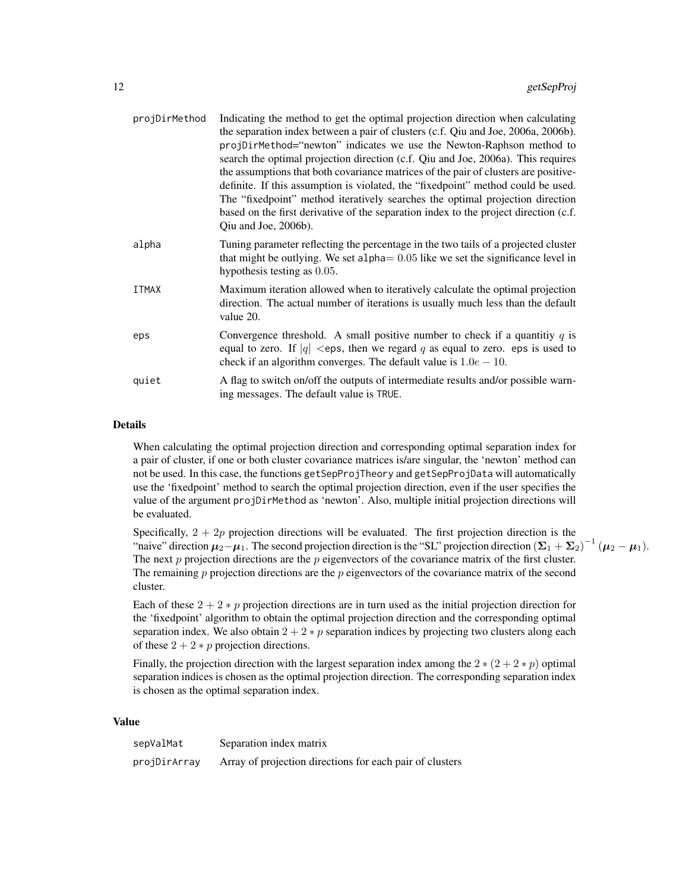| projDirMethod | Indicating the method to get the optimal projection direction when calculating<br>the separation index between a pair of clusters (c.f. Qiu and Joe, 2006a, 2006b).<br>projDirMethod="newton" indicates we use the Newton-Raphson method to<br>search the optimal projection direction (c.f. Qiu and Joe, 2006a). This requires<br>the assumptions that both covariance matrices of the pair of clusters are positive-<br>definite. If this assumption is violated, the "fixedpoint" method could be used.<br>The "fixedpoint" method iteratively searches the optimal projection direction<br>based on the first derivative of the separation index to the project direction (c.f.<br>Qiu and Joe, 2006b). |
|---------------|-------------------------------------------------------------------------------------------------------------------------------------------------------------------------------------------------------------------------------------------------------------------------------------------------------------------------------------------------------------------------------------------------------------------------------------------------------------------------------------------------------------------------------------------------------------------------------------------------------------------------------------------------------------------------------------------------------------|
| alpha         | Tuning parameter reflecting the percentage in the two tails of a projected cluster<br>that might be outlying. We set alpha $= 0.05$ like we set the significance level in<br>hypothesis testing as 0.05.                                                                                                                                                                                                                                                                                                                                                                                                                                                                                                    |
| <b>ITMAX</b>  | Maximum iteration allowed when to iteratively calculate the optimal projection<br>direction. The actual number of iterations is usually much less than the default<br>value 20.                                                                                                                                                                                                                                                                                                                                                                                                                                                                                                                             |
| eps           | Convergence threshold. A small positive number to check if a quantitiy $q$ is<br>equal to zero. If $ q  <$ eps, then we regard q as equal to zero. eps is used to<br>check if an algorithm converges. The default value is $1.0e - 10$ .                                                                                                                                                                                                                                                                                                                                                                                                                                                                    |
| quiet         | A flag to switch on/off the outputs of intermediate results and/or possible warn-<br>ing messages. The default value is TRUE.                                                                                                                                                                                                                                                                                                                                                                                                                                                                                                                                                                               |

#### Details

When calculating the optimal projection direction and corresponding optimal separation index for a pair of cluster, if one or both cluster covariance matrices is/are singular, the 'newton' method can not be used. In this case, the functions getSepProjTheory and getSepProjData will automatically use the 'fixedpoint' method to search the optimal projection direction, even if the user specifies the value of the argument projDirMethod as 'newton'. Also, multiple initial projection directions will be evaluated.

Specifically,  $2 + 2p$  projection directions will be evaluated. The first projection direction is the "naive" direction  $\mu_2 - \mu_1$ . The second projection direction is the "SL" projection direction  $(\Sigma_1 + \Sigma_2)^{-1} (\mu_2 - \mu_1)$ . The next  $p$  projection directions are the  $p$  eigenvectors of the covariance matrix of the first cluster. The remaining  $p$  projection directions are the  $p$  eigenvectors of the covariance matrix of the second cluster.

Each of these  $2 + 2 * p$  projection directions are in turn used as the initial projection direction for the 'fixedpoint' algorithm to obtain the optimal projection direction and the corresponding optimal separation index. We also obtain  $2 + 2 * p$  separation indices by projecting two clusters along each of these  $2 + 2 * p$  projection directions.

Finally, the projection direction with the largest separation index among the  $2 * (2 + 2 * p)$  optimal separation indices is chosen as the optimal projection direction. The corresponding separation index is chosen as the optimal separation index.

#### Value

| sepValMat    | Separation index matrix                                  |
|--------------|----------------------------------------------------------|
| projDirArray | Array of projection directions for each pair of clusters |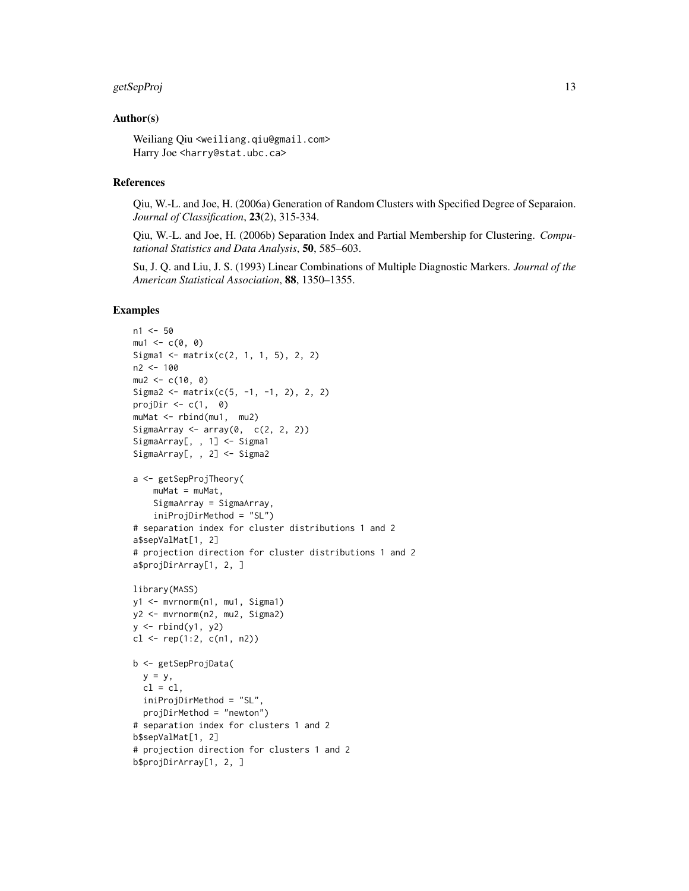#### getSepProj de la separat de la separat de la separat de la separat de la separat de la separat de la separat d

#### Author(s)

Weiliang Qiu <weiliang.qiu@gmail.com> Harry Joe <harry@stat.ubc.ca>

#### References

Qiu, W.-L. and Joe, H. (2006a) Generation of Random Clusters with Specified Degree of Separaion. *Journal of Classification*, 23(2), 315-334.

Qiu, W.-L. and Joe, H. (2006b) Separation Index and Partial Membership for Clustering. *Computational Statistics and Data Analysis*, 50, 585–603.

Su, J. Q. and Liu, J. S. (1993) Linear Combinations of Multiple Diagnostic Markers. *Journal of the American Statistical Association*, 88, 1350–1355.

#### Examples

```
n1 < -50mu1 < -c(0, 0)Sigma1 <- matrix(c(2, 1, 1, 5), 2, 2)
n2 < -100mu2 < -c(10, 0)Sigma2 <- matrix(c(5, -1, -1, 2), 2, 2)
projDir \leq -c(1, 0)muMat <- rbind(mu1, mu2)
SigmaArray \leq array(0, c(2, 2, 2))
SigmaArray[, , 1] <- Sigma1
SigmaArray[, , 2] <- Sigma2
a <- getSepProjTheory(
   muMat = muMat,
   SigmaArray = SigmaArray,
    iniProjDirMethod = "SL")
# separation index for cluster distributions 1 and 2
a$sepValMat[1, 2]
# projection direction for cluster distributions 1 and 2
a$projDirArray[1, 2, ]
library(MASS)
y1 <- mvrnorm(n1, mu1, Sigma1)
y2 <- mvrnorm(n2, mu2, Sigma2)
y \leftarrow rbind(y1, y2)
cl <- rep(1:2, c(n1, n2))b <- getSepProjData(
  y = y,
  cl = cl,iniProjDirMethod = "SL",
  projDirMethod = "newton")
# separation index for clusters 1 and 2
b$sepValMat[1, 2]
# projection direction for clusters 1 and 2
b$projDirArray[1, 2, ]
```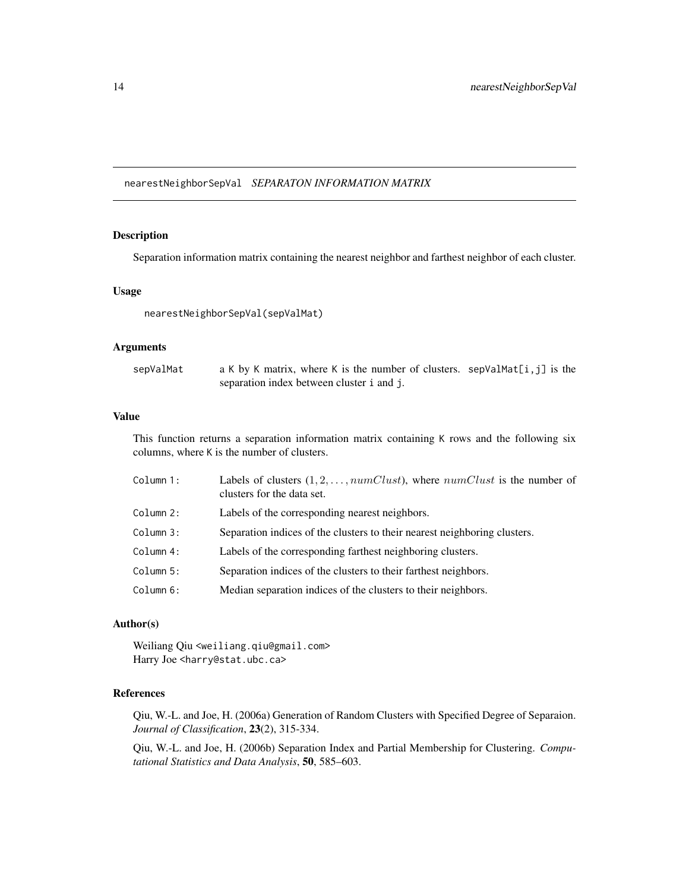<span id="page-13-0"></span>nearestNeighborSepVal *SEPARATON INFORMATION MATRIX*

## Description

Separation information matrix containing the nearest neighbor and farthest neighbor of each cluster.

#### Usage

nearestNeighborSepVal(sepValMat)

## Arguments

| sepValMat | a K by K matrix, where K is the number of clusters. sepValMat $[i, j]$ is the |  |
|-----------|-------------------------------------------------------------------------------|--|
|           | separation index between cluster i and j.                                     |  |

#### Value

This function returns a separation information matrix containing K rows and the following six columns, where K is the number of clusters.

| Column 1: | Labels of clusters $(1, 2, \ldots, numClust)$ , where $numClust$ is the number of<br>clusters for the data set. |
|-----------|-----------------------------------------------------------------------------------------------------------------|
| Column 2: | Labels of the corresponding nearest neighbors.                                                                  |
| Column 3: | Separation indices of the clusters to their nearest neighboring clusters.                                       |
| Column 4: | Labels of the corresponding farthest neighboring clusters.                                                      |
| Column 5: | Separation indices of the clusters to their farthest neighbors.                                                 |
| Column 6: | Median separation indices of the clusters to their neighbors.                                                   |

## Author(s)

Weiliang Qiu <weiliang.qiu@gmail.com> Harry Joe <harry@stat.ubc.ca>

## References

Qiu, W.-L. and Joe, H. (2006a) Generation of Random Clusters with Specified Degree of Separaion. *Journal of Classification*, 23(2), 315-334.

Qiu, W.-L. and Joe, H. (2006b) Separation Index and Partial Membership for Clustering. *Computational Statistics and Data Analysis*, 50, 585–603.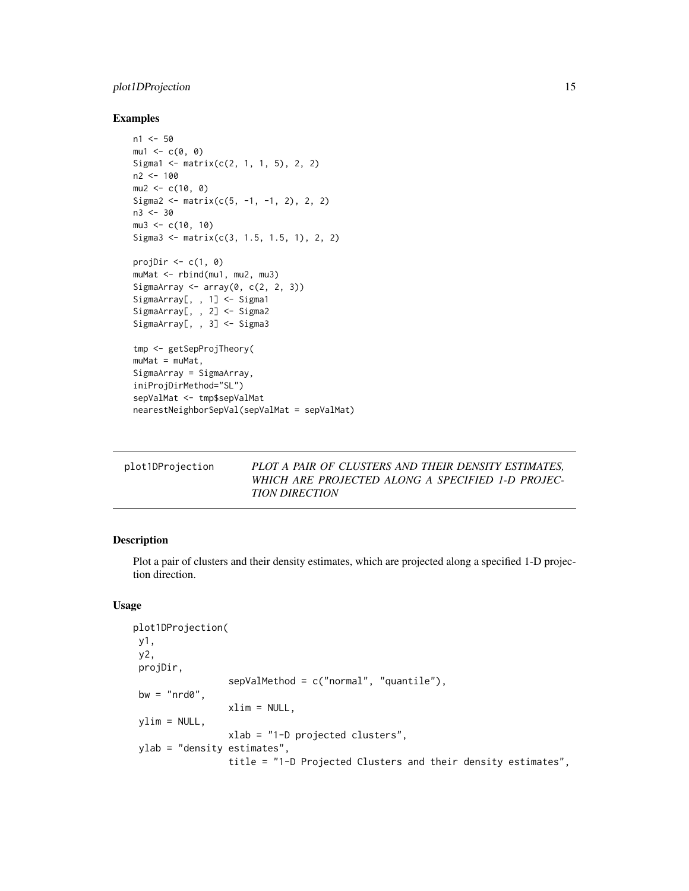## <span id="page-14-0"></span>plot1DProjection 15

#### Examples

```
n1 < -50mu1 \leftarrow c(\emptyset, \emptyset)Sigma1 <- matrix(c(2, 1, 1, 5), 2, 2)
n2 < -100mu2 < -c(10, 0)Sigma2 <- matrix(c(5, -1, -1, 2), 2, 2)
n3 < -30mu3 < -c(10, 10)Sigma3 <- matrix(c(3, 1.5, 1.5, 1), 2, 2)
projDir \leq c(1, 0)
muMat <- rbind(mu1, mu2, mu3)
SigmaArray \leq array(0, c(2, 2, 3))
SigmaArray[, , 1] <- Sigma1
SigmaArray[, , 2] <- Sigma2
SigmaArray[, , 3] <- Sigma3
tmp <- getSepProjTheory(
muMat = muMat,
SigmaArray = SigmaArray,
iniProjDirMethod="SL")
sepValMat <- tmp$sepValMat
nearestNeighborSepVal(sepValMat = sepValMat)
```
<span id="page-14-1"></span>

| <b>TION DIRECTION</b> | plot1DProjection | PLOT A PAIR OF CLUSTERS AND THEIR DENSITY ESTIMATES,<br>WHICH ARE PROJECTED ALONG A SPECIFIED 1-D PROJEC- |
|-----------------------|------------------|-----------------------------------------------------------------------------------------------------------|
|-----------------------|------------------|-----------------------------------------------------------------------------------------------------------|

## Description

Plot a pair of clusters and their density estimates, which are projected along a specified 1-D projection direction.

### Usage

```
plot1DProjection(
y1,
y2,
projDir,
                 sepValMethod = c("normal", "quantile"),
bw = "nrd0".
                 xlim = NULL,ylim = NULL,xlab = "1-D projected clusters",
 ylab = "density estimates",
                 title = "1-D Projected Clusters and their density estimates",
```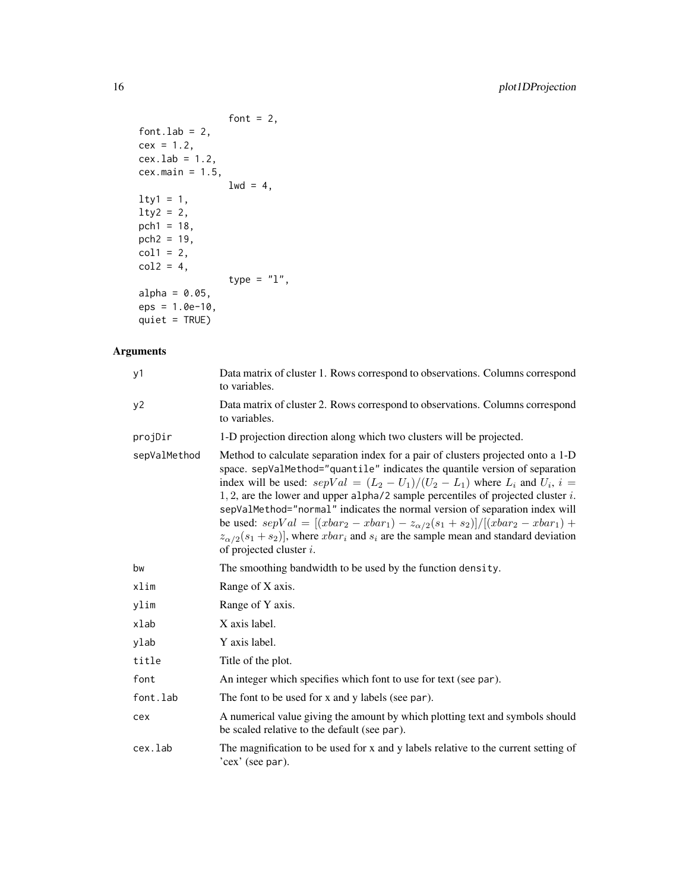```
font = 2,
font.lab = 2,
cex = 1.2,cex.lab = 1.2,
cex.main = 1.5,
               1wd = 4,lty1 = 1,lty2 = 2,pch1 = 18,
pch2 = 19,
col1 = 2,
col2 = 4,
               type = "1",alpha = 0.05,
eps = 1.0e-10,
quiet = TRUE)
```
## Arguments

| y1           | Data matrix of cluster 1. Rows correspond to observations. Columns correspond<br>to variables.                                                                                                                                                                                                                                                                                                                                                                                                                                                                                                                                                           |
|--------------|----------------------------------------------------------------------------------------------------------------------------------------------------------------------------------------------------------------------------------------------------------------------------------------------------------------------------------------------------------------------------------------------------------------------------------------------------------------------------------------------------------------------------------------------------------------------------------------------------------------------------------------------------------|
| y2           | Data matrix of cluster 2. Rows correspond to observations. Columns correspond<br>to variables.                                                                                                                                                                                                                                                                                                                                                                                                                                                                                                                                                           |
| projDir      | 1-D projection direction along which two clusters will be projected.                                                                                                                                                                                                                                                                                                                                                                                                                                                                                                                                                                                     |
| sepValMethod | Method to calculate separation index for a pair of clusters projected onto a 1-D<br>space. sepValMethod="quantile" indicates the quantile version of separation<br>index will be used: $sepVal = (L_2 - U_1)/(U_2 - L_1)$ where $L_i$ and $U_i$ , $i =$<br>1, 2, are the lower and upper alpha/2 sample percentiles of projected cluster $i$ .<br>sepValMethod="normal" indicates the normal version of separation index will<br>be used: $sepVal = [(vbar_2 - xbar_1) - z_{\alpha/2}(s_1 + s_2)] / [(vbar_2 - xbar_1) +$<br>$z_{\alpha/2}(s_1+s_2)$ , where $xbar_i$ and $s_i$ are the sample mean and standard deviation<br>of projected cluster $i$ . |
| bw           | The smoothing bandwidth to be used by the function density.                                                                                                                                                                                                                                                                                                                                                                                                                                                                                                                                                                                              |
| xlim         | Range of X axis.                                                                                                                                                                                                                                                                                                                                                                                                                                                                                                                                                                                                                                         |
| ylim         | Range of Y axis.                                                                                                                                                                                                                                                                                                                                                                                                                                                                                                                                                                                                                                         |
| xlab         | X axis label.                                                                                                                                                                                                                                                                                                                                                                                                                                                                                                                                                                                                                                            |
| ylab         | Y axis label.                                                                                                                                                                                                                                                                                                                                                                                                                                                                                                                                                                                                                                            |
| title        | Title of the plot.                                                                                                                                                                                                                                                                                                                                                                                                                                                                                                                                                                                                                                       |
| font         | An integer which specifies which font to use for text (see par).                                                                                                                                                                                                                                                                                                                                                                                                                                                                                                                                                                                         |
| font.lab     | The font to be used for x and y labels (see par).                                                                                                                                                                                                                                                                                                                                                                                                                                                                                                                                                                                                        |
| cex          | A numerical value giving the amount by which plotting text and symbols should<br>be scaled relative to the default (see par).                                                                                                                                                                                                                                                                                                                                                                                                                                                                                                                            |
| cex.lab      | The magnification to be used for x and y labels relative to the current setting of<br>'cex' (see par).                                                                                                                                                                                                                                                                                                                                                                                                                                                                                                                                                   |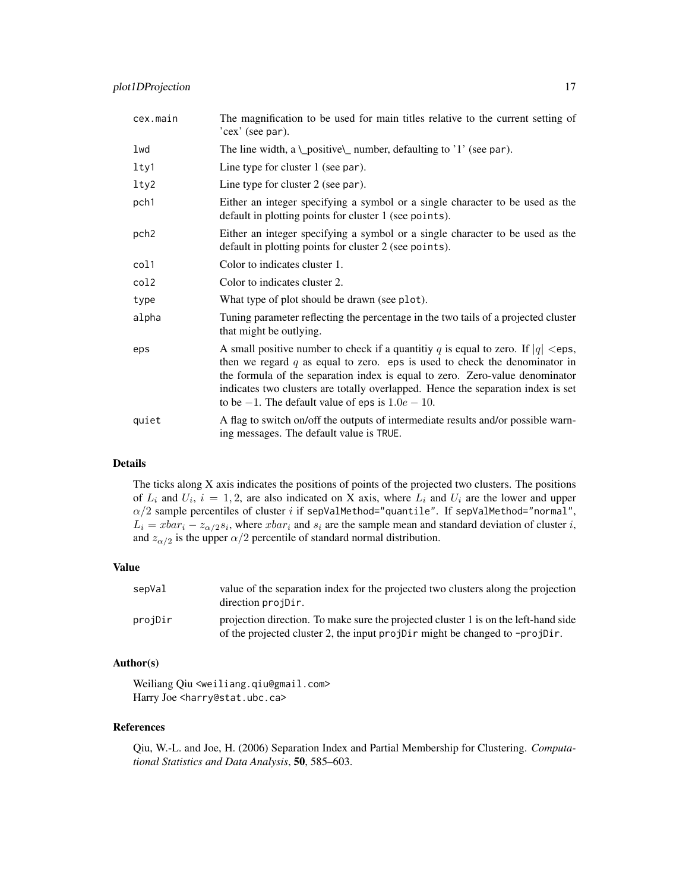| cex.main         | The magnification to be used for main titles relative to the current setting of<br>'cex' (see par).                                                                                                                                                                                                                                                                                               |
|------------------|---------------------------------------------------------------------------------------------------------------------------------------------------------------------------------------------------------------------------------------------------------------------------------------------------------------------------------------------------------------------------------------------------|
| lwd              | The line width, a \_positive\_ number, defaulting to '1' (see par).                                                                                                                                                                                                                                                                                                                               |
| lty1             | Line type for cluster $1$ (see par).                                                                                                                                                                                                                                                                                                                                                              |
| 1 <sub>ty2</sub> | Line type for cluster 2 (see par).                                                                                                                                                                                                                                                                                                                                                                |
| pch1             | Either an integer specifying a symbol or a single character to be used as the<br>default in plotting points for cluster 1 (see points).                                                                                                                                                                                                                                                           |
| pch <sub>2</sub> | Either an integer specifying a symbol or a single character to be used as the<br>default in plotting points for cluster 2 (see points).                                                                                                                                                                                                                                                           |
| col1             | Color to indicates cluster 1.                                                                                                                                                                                                                                                                                                                                                                     |
| col2             | Color to indicates cluster 2.                                                                                                                                                                                                                                                                                                                                                                     |
| type             | What type of plot should be drawn (see plot).                                                                                                                                                                                                                                                                                                                                                     |
| alpha            | Tuning parameter reflecting the percentage in the two tails of a projected cluster<br>that might be outlying.                                                                                                                                                                                                                                                                                     |
| eps              | A small positive number to check if a quantitiy q is equal to zero. If $ q  <$ eps,<br>then we regard $q$ as equal to zero. eps is used to check the denominator in<br>the formula of the separation index is equal to zero. Zero-value denominator<br>indicates two clusters are totally overlapped. Hence the separation index is set<br>to be $-1$ . The default value of eps is $1.0e - 10$ . |
| quiet            | A flag to switch on/off the outputs of intermediate results and/or possible warn-<br>ing messages. The default value is TRUE.                                                                                                                                                                                                                                                                     |

#### Details

The ticks along X axis indicates the positions of points of the projected two clusters. The positions of  $L_i$  and  $U_i$ ,  $i = 1, 2$ , are also indicated on X axis, where  $L_i$  and  $U_i$  are the lower and upper  $\alpha/2$  sample percentiles of cluster i if sepValMethod="quantile". If sepValMethod="normal",  $L_i = xbar_i - z_{\alpha/2} s_i$ , where  $xbar_i$  and  $s_i$  are the sample mean and standard deviation of cluster i, and  $z_{\alpha/2}$  is the upper  $\alpha/2$  percentile of standard normal distribution.

#### Value

| sepVal  | value of the separation index for the projected two clusters along the projection<br>direction projDir.                                                            |
|---------|--------------------------------------------------------------------------------------------------------------------------------------------------------------------|
| proiDir | projection direction. To make sure the projected cluster 1 is on the left-hand side<br>of the projected cluster 2, the input projDir might be changed to -projDir. |

## Author(s)

Weiliang Qiu <weiliang.qiu@gmail.com> Harry Joe <harry@stat.ubc.ca>

#### References

Qiu, W.-L. and Joe, H. (2006) Separation Index and Partial Membership for Clustering. *Computational Statistics and Data Analysis*, 50, 585–603.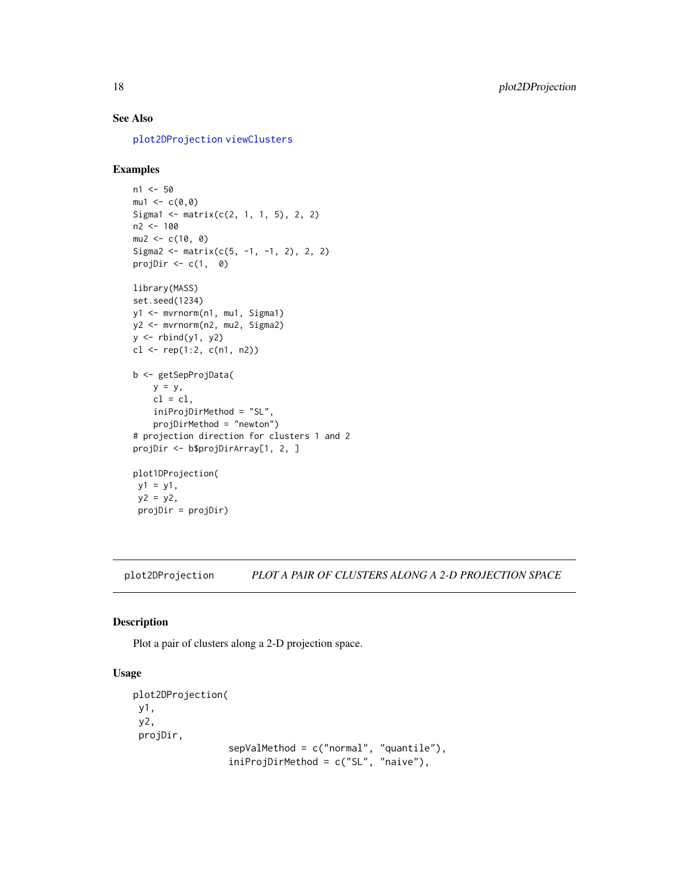## <span id="page-17-0"></span>See Also

[plot2DProjection](#page-17-1) [viewClusters](#page-29-1)

#### Examples

```
n1 < -50mu1 < -c(0, 0)Sigma1 <- matrix(c(2, 1, 1, 5), 2, 2)
n2 < -100mu2 < -c(10, 0)Sigma2 <- matrix(c(5, -1, -1, 2), 2, 2)
projDir \leq c(1, 0)
```

```
library(MASS)
set.seed(1234)
y1 <- mvrnorm(n1, mu1, Sigma1)
y2 <- mvrnorm(n2, mu2, Sigma2)
y \leftarrow \text{rbind}(y1, y2)cl <- rep(1:2, c(n1, n2))b <- getSepProjData(
    y = y,
    cl = cl,iniProjDirMethod = "SL",
    projDirMethod = "newton")
# projection direction for clusters 1 and 2
projDir <- b$projDirArray[1, 2, ]
plot1DProjection(
y1 = y1,
 y2 = y2,
 projDir = projDir)
```
<span id="page-17-1"></span>plot2DProjection *PLOT A PAIR OF CLUSTERS ALONG A 2-D PROJECTION SPACE*

#### Description

Plot a pair of clusters along a 2-D projection space.

#### Usage

```
plot2DProjection(
y1,
y2,
projDir,
                 sepValMethod = c("normal", "quantile"),
                 iniProjDirMethod = c("SL", "naive"),
```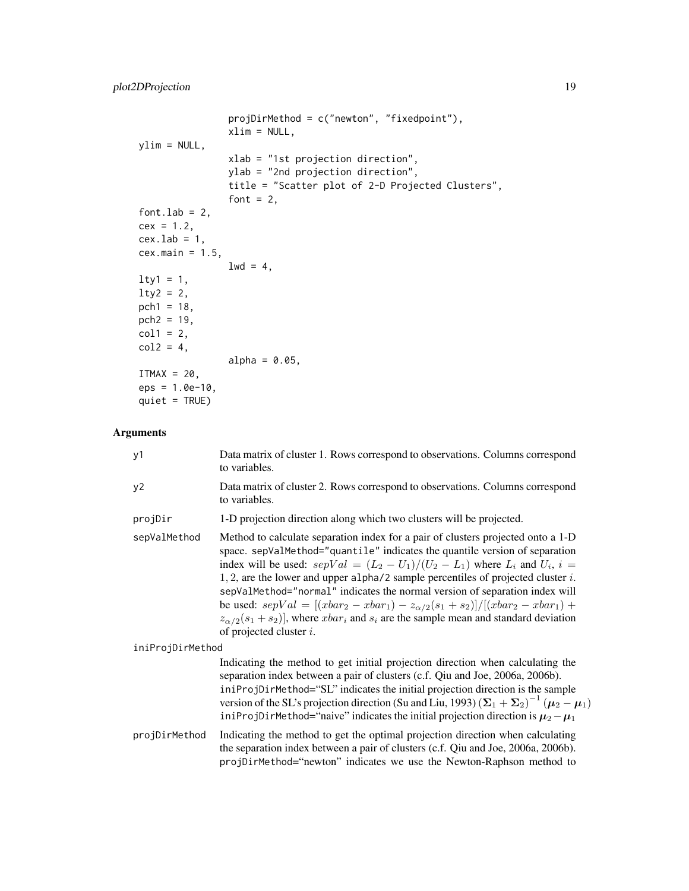```
projDirMethod = c("newton", "fixedpoint"),
               xlim = NULL,ylim = NULL,xlab = "1st projection direction",
               ylab = "2nd projection direction",
               title = "Scatter plot of 2-D Projected Clusters",
               font = 2,
font.lab = 2,
cex = 1.2,cex.1ab = 1,
cex.main = 1.5,
               1wd = 4,
lty1 = 1,lty2 = 2,pch1 = 18,
pch2 = 19,
col1 = 2,col2 = 4,
               alpha = 0.05,
ITMAX = 20,eps = 1.0e-10,quiet = TRUE)
```
## Arguments

| y1               | Data matrix of cluster 1. Rows correspond to observations. Columns correspond<br>to variables.                                                                                                                                                                                                                                                                                                                                                                                                                                                                                                                                                           |
|------------------|----------------------------------------------------------------------------------------------------------------------------------------------------------------------------------------------------------------------------------------------------------------------------------------------------------------------------------------------------------------------------------------------------------------------------------------------------------------------------------------------------------------------------------------------------------------------------------------------------------------------------------------------------------|
| y2               | Data matrix of cluster 2. Rows correspond to observations. Columns correspond<br>to variables.                                                                                                                                                                                                                                                                                                                                                                                                                                                                                                                                                           |
| projDir          | 1-D projection direction along which two clusters will be projected.                                                                                                                                                                                                                                                                                                                                                                                                                                                                                                                                                                                     |
| sepValMethod     | Method to calculate separation index for a pair of clusters projected onto a 1-D<br>space. sepValMethod="quantile" indicates the quantile version of separation<br>index will be used: $sepVal = (L_2 - U_1)/(U_2 - L_1)$ where $L_i$ and $U_i$ , $i =$<br>1, 2, are the lower and upper alpha/2 sample percentiles of projected cluster $i$ .<br>sepValMethod="normal" indicates the normal version of separation index will<br>be used: $sepVal = [(rbar_2 - xbar_1) - z_{\alpha/2}(s_1 + s_2)] / [(rbar_2 - xbar_1) +$<br>$z_{\alpha/2}(s_1+s_2)$ , where $xbar_i$ and $s_i$ are the sample mean and standard deviation<br>of projected cluster $i$ . |
| iniProjDirMethod |                                                                                                                                                                                                                                                                                                                                                                                                                                                                                                                                                                                                                                                          |
|                  | Indicating the method to get initial projection direction when calculating the<br>separation index between a pair of clusters (c.f. Qiu and Joe, 2006a, 2006b).<br>iniProjDirMethod="SL" indicates the initial projection direction is the sample<br>version of the SL's projection direction (Su and Liu, 1993) $(\Sigma_1 + \Sigma_2)^{-1} (\mu_2 - \mu_1)$<br>iniProjDirMethod="naive" indicates the initial projection direction is $\mu_2 - \mu_1$                                                                                                                                                                                                  |
| projDirMethod    | Indicating the method to get the optimal projection direction when calculating<br>the separation index between a pair of clusters (c.f. Qiu and Joe, 2006a, 2006b).<br>projDirMethod="newton" indicates we use the Newton-Raphson method to                                                                                                                                                                                                                                                                                                                                                                                                              |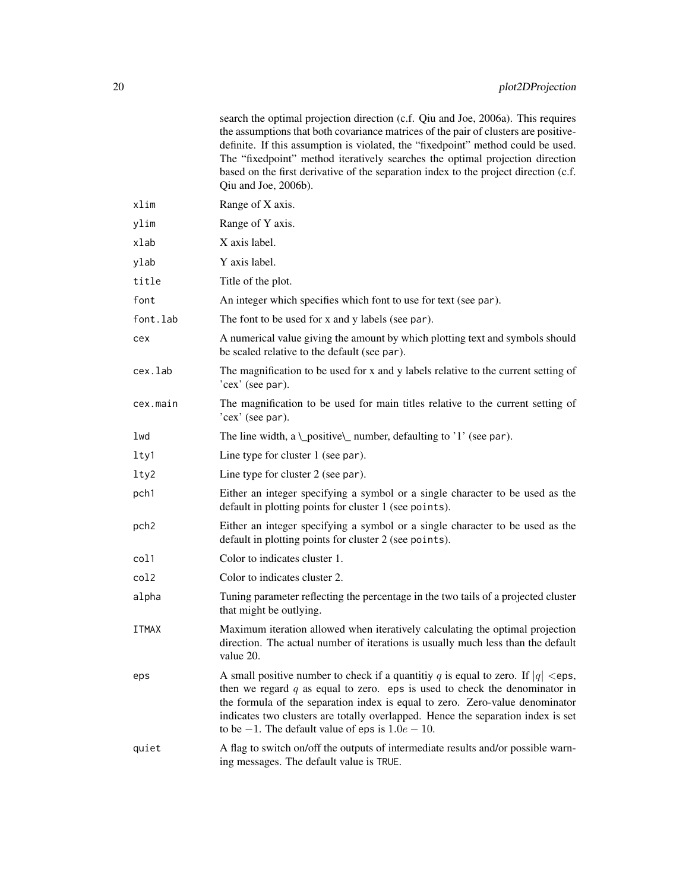|                  | search the optimal projection direction (c.f. Qiu and Joe, 2006a). This requires<br>the assumptions that both covariance matrices of the pair of clusters are positive-<br>definite. If this assumption is violated, the "fixedpoint" method could be used.<br>The "fixedpoint" method iteratively searches the optimal projection direction<br>based on the first derivative of the separation index to the project direction (c.f.<br>Qiu and Joe, 2006b). |
|------------------|--------------------------------------------------------------------------------------------------------------------------------------------------------------------------------------------------------------------------------------------------------------------------------------------------------------------------------------------------------------------------------------------------------------------------------------------------------------|
| xlim             | Range of X axis.                                                                                                                                                                                                                                                                                                                                                                                                                                             |
| ylim             | Range of Y axis.                                                                                                                                                                                                                                                                                                                                                                                                                                             |
| xlab             | X axis label.                                                                                                                                                                                                                                                                                                                                                                                                                                                |
| ylab             | Y axis label.                                                                                                                                                                                                                                                                                                                                                                                                                                                |
| title            | Title of the plot.                                                                                                                                                                                                                                                                                                                                                                                                                                           |
| font             | An integer which specifies which font to use for text (see par).                                                                                                                                                                                                                                                                                                                                                                                             |
| font.lab         | The font to be used for x and y labels (see par).                                                                                                                                                                                                                                                                                                                                                                                                            |
| cex              | A numerical value giving the amount by which plotting text and symbols should<br>be scaled relative to the default (see par).                                                                                                                                                                                                                                                                                                                                |
| cex.lab          | The magnification to be used for x and y labels relative to the current setting of<br>'cex' (see par).                                                                                                                                                                                                                                                                                                                                                       |
| cex.main         | The magnification to be used for main titles relative to the current setting of<br>'cex' (see par).                                                                                                                                                                                                                                                                                                                                                          |
| lwd              | The line width, a \_positive\_ number, defaulting to '1' (see par).                                                                                                                                                                                                                                                                                                                                                                                          |
| lty1             | Line type for cluster 1 (see par).                                                                                                                                                                                                                                                                                                                                                                                                                           |
| lty2             | Line type for cluster 2 (see par).                                                                                                                                                                                                                                                                                                                                                                                                                           |
| pch1             | Either an integer specifying a symbol or a single character to be used as the<br>default in plotting points for cluster 1 (see points).                                                                                                                                                                                                                                                                                                                      |
| pch <sub>2</sub> | Either an integer specifying a symbol or a single character to be used as the<br>default in plotting points for cluster 2 (see points).                                                                                                                                                                                                                                                                                                                      |
| col1             | Color to indicates cluster 1.                                                                                                                                                                                                                                                                                                                                                                                                                                |
| col2             | Color to indicates cluster 2.                                                                                                                                                                                                                                                                                                                                                                                                                                |
| alpha            | Tuning parameter reflecting the percentage in the two tails of a projected cluster<br>that might be outlying.                                                                                                                                                                                                                                                                                                                                                |
| <b>ITMAX</b>     | Maximum iteration allowed when iteratively calculating the optimal projection<br>direction. The actual number of iterations is usually much less than the default<br>value 20.                                                                                                                                                                                                                                                                               |
| eps              | A small positive number to check if a quantitiy q is equal to zero. If $ q  <$ eps,<br>then we regard $q$ as equal to zero. eps is used to check the denominator in<br>the formula of the separation index is equal to zero. Zero-value denominator<br>indicates two clusters are totally overlapped. Hence the separation index is set<br>to be $-1$ . The default value of eps is $1.0e - 10$ .                                                            |
| quiet            | A flag to switch on/off the outputs of intermediate results and/or possible warn-<br>ing messages. The default value is TRUE.                                                                                                                                                                                                                                                                                                                                |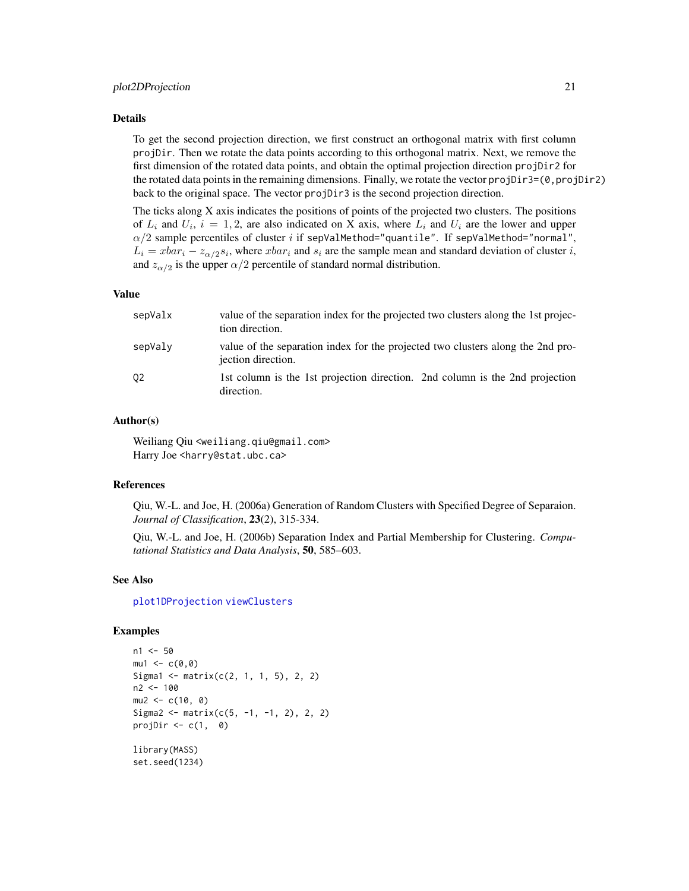#### <span id="page-20-0"></span>plot2DProjection 21

#### Details

To get the second projection direction, we first construct an orthogonal matrix with first column projDir. Then we rotate the data points according to this orthogonal matrix. Next, we remove the first dimension of the rotated data points, and obtain the optimal projection direction projDir2 for the rotated data points in the remaining dimensions. Finally, we rotate the vector projDir3=(0,projDir2) back to the original space. The vector projDir3 is the second projection direction.

The ticks along X axis indicates the positions of points of the projected two clusters. The positions of  $L_i$  and  $U_i$ ,  $i = 1, 2$ , are also indicated on X axis, where  $L_i$  and  $U_i$  are the lower and upper  $\alpha/2$  sample percentiles of cluster i if sepValMethod="quantile". If sepValMethod="normal",  $L_i = xbar_i - z_{\alpha/2} s_i$ , where  $xbar_i$  and  $s_i$  are the sample mean and standard deviation of cluster i, and  $z_{\alpha/2}$  is the upper  $\alpha/2$  percentile of standard normal distribution.

#### Value

| sepValx | value of the separation index for the projected two clusters along the 1st projec-<br>tion direction. |
|---------|-------------------------------------------------------------------------------------------------------|
| sepValy | value of the separation index for the projected two clusters along the 2nd pro-<br>jection direction. |
| 02      | 1st column is the 1st projection direction. 2nd column is the 2nd projection<br>direction.            |

#### Author(s)

Weiliang Qiu <weiliang.qiu@gmail.com> Harry Joe <harry@stat.ubc.ca>

#### References

Qiu, W.-L. and Joe, H. (2006a) Generation of Random Clusters with Specified Degree of Separaion. *Journal of Classification*, 23(2), 315-334.

Qiu, W.-L. and Joe, H. (2006b) Separation Index and Partial Membership for Clustering. *Computational Statistics and Data Analysis*, 50, 585–603.

#### See Also

[plot1DProjection](#page-14-1) [viewClusters](#page-29-1)

#### Examples

```
n1 <- 50
mu1 < -c(0,0)Sigma1 <- matrix(c(2, 1, 1, 5), 2, 2)
n2 <- 100
mu2 < -c(10, 0)Sigma2 <- matrix(c(5, -1, -1, 2), 2, 2)
projDir \leq -c(1, 0)library(MASS)
set.seed(1234)
```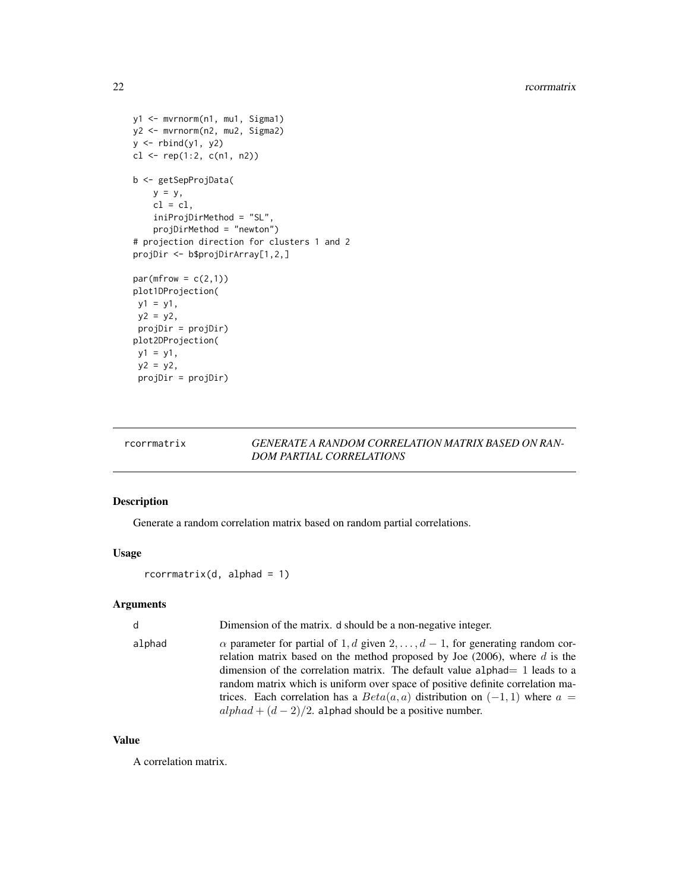```
y1 <- mvrnorm(n1, mu1, Sigma1)
y2 <- mvrnorm(n2, mu2, Sigma2)
y \leftarrow \text{rbind}(y1, y2)cl \leftarrow rep(1:2, c(n1, n2))b <- getSepProjData(
    y = y,
    cl = cl,iniProjDirMethod = "SL",
    projDirMethod = "newton")
# projection direction for clusters 1 and 2
projDir <- b$projDirArray[1,2,]
par(mfrow = c(2,1))plot1DProjection(
y1 = y1,
 y2 = y2,
 projDir = projDir)
plot2DProjection(
y1 = y1,
 y2 = y2,
 projDir = projDir)
```
## rcorrmatrix *GENERATE A RANDOM CORRELATION MATRIX BASED ON RAN-DOM PARTIAL CORRELATIONS*

#### Description

Generate a random correlation matrix based on random partial correlations.

## Usage

rcorrmatrix(d, alphad = 1)

#### Arguments

| $\mathsf{d}$ | Dimension of the matrix. d should be a non-negative integer.                                                                                                                                                                                                                                                                                                                                                                                                                                |
|--------------|---------------------------------------------------------------------------------------------------------------------------------------------------------------------------------------------------------------------------------------------------------------------------------------------------------------------------------------------------------------------------------------------------------------------------------------------------------------------------------------------|
| alphad       | $\alpha$ parameter for partial of 1, d given 2, , $d-1$ , for generating random cor-<br>relation matrix based on the method proposed by Joe $(2006)$ , where d is the<br>dimension of the correlation matrix. The default value alphad $= 1$ leads to a<br>random matrix which is uniform over space of positive definite correlation ma-<br>trices. Each correlation has a $Beta(a, a)$ distribution on $(-1, 1)$ where $a =$<br>$alpha + (d - 2)/2$ . alphad should be a positive number. |

#### Value

A correlation matrix.

<span id="page-21-0"></span>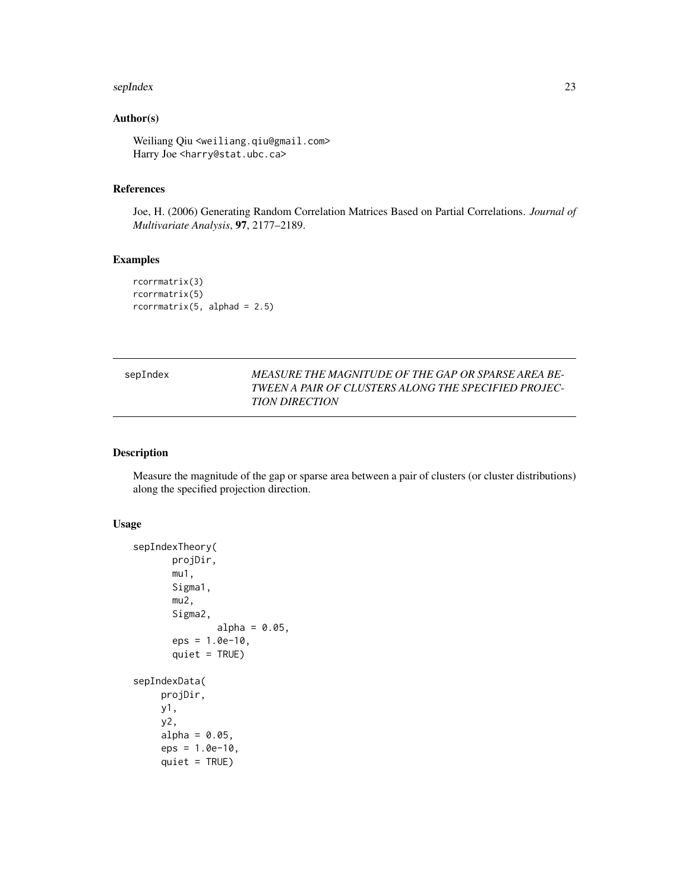#### <span id="page-22-0"></span>sepIndex 23

## Author(s)

Weiliang Qiu <weiliang.qiu@gmail.com> Harry Joe <harry@stat.ubc.ca>

#### References

Joe, H. (2006) Generating Random Correlation Matrices Based on Partial Correlations. *Journal of Multivariate Analysis*, 97, 2177–2189.

## Examples

```
rcorrmatrix(3)
rcorrmatrix(5)
rcorrmatrix(5, alphad = 2.5)
```

| sepIndex | MEASURE THE MAGNITUDE OF THE GAP OR SPARSE AREA BE-  |
|----------|------------------------------------------------------|
|          | TWEEN A PAIR OF CLUSTERS ALONG THE SPECIFIED PROJEC- |
|          | <b>TION DIRECTION</b>                                |

### Description

Measure the magnitude of the gap or sparse area between a pair of clusters (or cluster distributions) along the specified projection direction.

#### Usage

```
sepIndexTheory(
       projDir,
       mu1,
       Sigma1,
       mu2,
       Sigma2,
               alpha = 0.05,
       eps = 1.0e-10,quiet = TRUE)
sepIndexData(
     projDir,
     y1,
     y2,
     alpha = 0.05,
     eps = 1.0e-10,quiet = TRUE)
```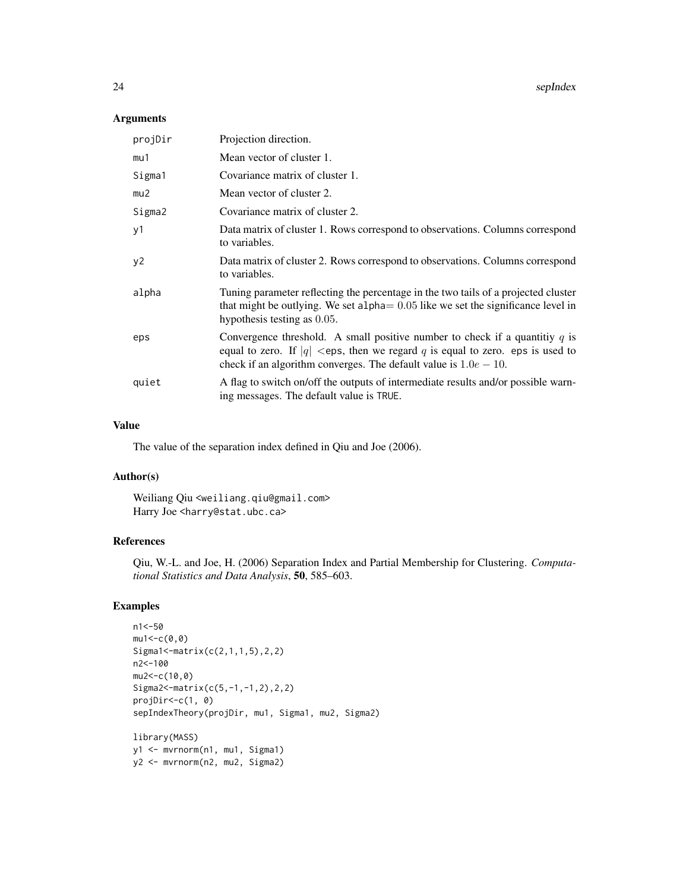24 sepIndex sepIndex sepIndex sepIndex sepIndex sepIndex sepIndex sepIndex sepIndex sepIndex sepIndex sepIndex

## Arguments

| projDir | Projection direction.                                                                                                                                                                                                                    |
|---------|------------------------------------------------------------------------------------------------------------------------------------------------------------------------------------------------------------------------------------------|
| mu1     | Mean vector of cluster 1.                                                                                                                                                                                                                |
| Sigma1  | Covariance matrix of cluster 1.                                                                                                                                                                                                          |
| mu2     | Mean vector of cluster 2.                                                                                                                                                                                                                |
| Sigma2  | Covariance matrix of cluster 2.                                                                                                                                                                                                          |
| y1      | Data matrix of cluster 1. Rows correspond to observations. Columns correspond<br>to variables.                                                                                                                                           |
| y2      | Data matrix of cluster 2. Rows correspond to observations. Columns correspond<br>to variables.                                                                                                                                           |
| alpha   | Tuning parameter reflecting the percentage in the two tails of a projected cluster<br>that might be outlying. We set alpha $= 0.05$ like we set the significance level in<br>hypothesis testing as 0.05.                                 |
| eps     | Convergence threshold. A small positive number to check if a quantitiy q is<br>equal to zero. If  q  $\lt$ eps, then we regard q is equal to zero. eps is used to<br>check if an algorithm converges. The default value is $1.0e - 10$ . |
| quiet   | A flag to switch on/off the outputs of intermediate results and/or possible warn-<br>ing messages. The default value is TRUE.                                                                                                            |

## Value

The value of the separation index defined in Qiu and Joe (2006).

## Author(s)

Weiliang Qiu <weiliang.qiu@gmail.com> Harry Joe <harry@stat.ubc.ca>

## References

Qiu, W.-L. and Joe, H. (2006) Separation Index and Partial Membership for Clustering. *Computational Statistics and Data Analysis*, 50, 585–603.

## Examples

```
n1<-50
mu1 < -c(0, 0)Sigma1<-matrix(c(2,1,1,5),2,2)
n2<-100
mu2<-c(10,0)
Sigma2<-matrix(c(5,-1,-1,2),2,2)
projDir<-c(1, 0)
sepIndexTheory(projDir, mu1, Sigma1, mu2, Sigma2)
library(MASS)
y1 <- mvrnorm(n1, mu1, Sigma1)
y2 <- mvrnorm(n2, mu2, Sigma2)
```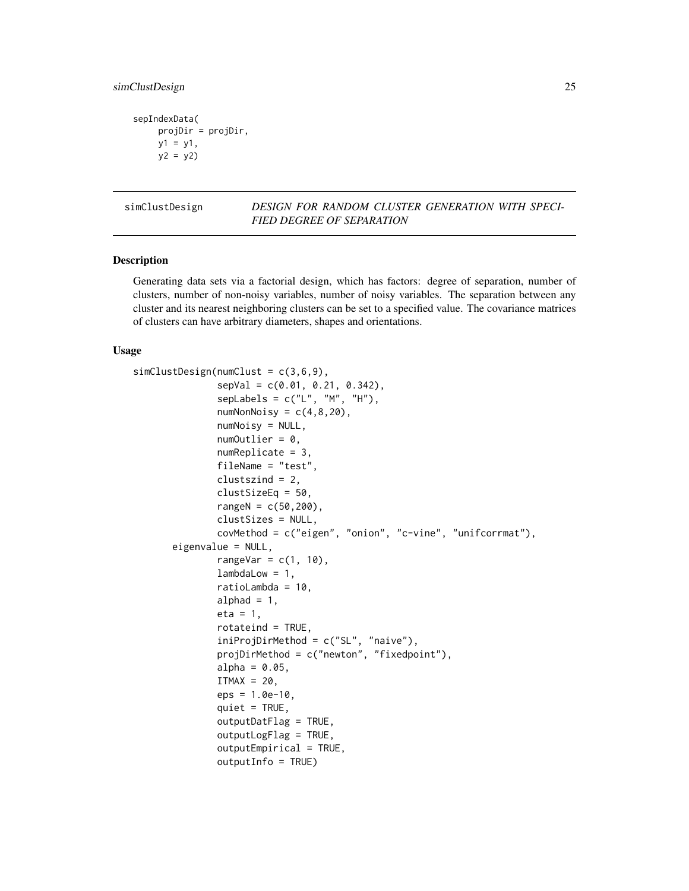```
sepIndexData(
    projDir = projDir,
    y1 = y1,
    y2 = y2
```
simClustDesign *DESIGN FOR RANDOM CLUSTER GENERATION WITH SPECI-FIED DEGREE OF SEPARATION*

#### Description

Generating data sets via a factorial design, which has factors: degree of separation, number of clusters, number of non-noisy variables, number of noisy variables. The separation between any cluster and its nearest neighboring clusters can be set to a specified value. The covariance matrices of clusters can have arbitrary diameters, shapes and orientations.

#### Usage

```
simClustDesign(numClust = c(3,6,9),
               sepVal = c(0.01, 0.21, 0.342),
               seplabels = c("L", "M", "H"),
               numNonNoisy = c(4,8,20),
               numNoisy = NULL,
               numOutlier = 0,
               numReplicate = 3,
               fileName = "test",
               clustszind = 2,
               clustSizeEq = 50,
               rangeN = c(50, 200),
               clustSizes = NULL,
               covMethod = c("eigen", "onion", "c-vine", "unifcorrmat"),
       eigenvalue = NULL,
               rangeVar = c(1, 10),
               lambdalow = 1,ratioLambda = 10,
               alphad = 1,
               eta = 1,
               rotateind = TRUE,
               iniProjDirMethod = c("SL", "naive"),
               projDirMethod = c("newton", "fixedpoint"),
               alpha = 0.05,
               ITMAX = 20,
               eps = 1.0e-10,
               quiet = TRUE,
               outputDatFlag = TRUE,
               outputLogFlag = TRUE,
               outputEmpirical = TRUE,
               outputInfo = TRUE)
```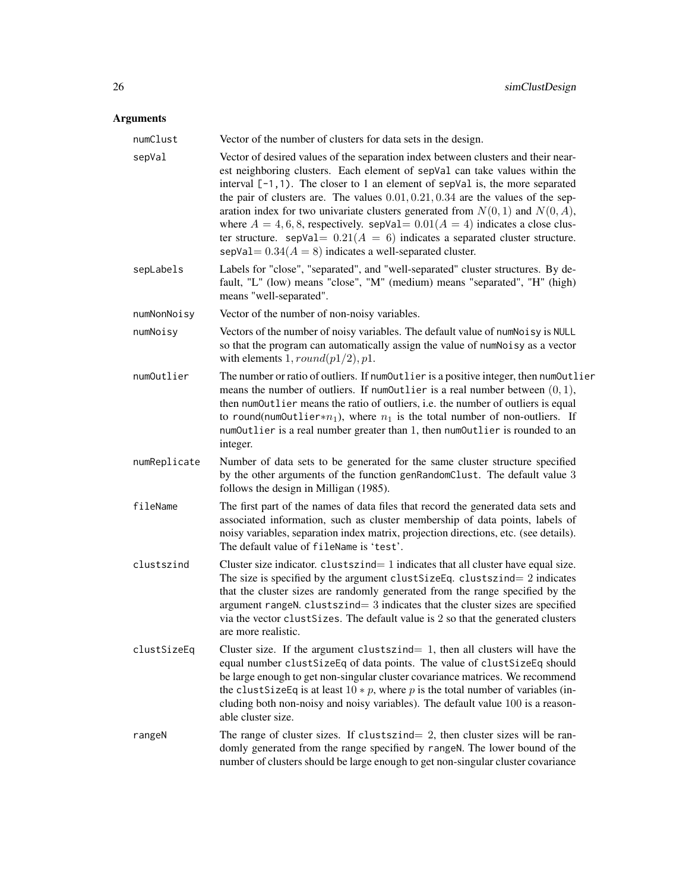## Arguments

| numClust     | Vector of the number of clusters for data sets in the design.                                                                                                                                                                                                                                                                                                                                                                                                                                                                                                                                                                                                       |
|--------------|---------------------------------------------------------------------------------------------------------------------------------------------------------------------------------------------------------------------------------------------------------------------------------------------------------------------------------------------------------------------------------------------------------------------------------------------------------------------------------------------------------------------------------------------------------------------------------------------------------------------------------------------------------------------|
| sepVal       | Vector of desired values of the separation index between clusters and their near-<br>est neighboring clusters. Each element of sepVal can take values within the<br>interval $[-1,1)$ . The closer to 1 an element of sepVal is, the more separated<br>the pair of clusters are. The values $0.01, 0.21, 0.34$ are the values of the sep-<br>aration index for two univariate clusters generated from $N(0, 1)$ and $N(0, A)$ ,<br>where $A = 4, 6, 8$ , respectively. sepVal= $0.01(A = 4)$ indicates a close clus-<br>ter structure. sepVal= $0.21(A = 6)$ indicates a separated cluster structure.<br>sepVal = $0.34(A = 8)$ indicates a well-separated cluster. |
| sepLabels    | Labels for "close", "separated", and "well-separated" cluster structures. By de-<br>fault, "L" (low) means "close", "M" (medium) means "separated", "H" (high)<br>means "well-separated".                                                                                                                                                                                                                                                                                                                                                                                                                                                                           |
| numNonNoisy  | Vector of the number of non-noisy variables.                                                                                                                                                                                                                                                                                                                                                                                                                                                                                                                                                                                                                        |
| numNoisy     | Vectors of the number of noisy variables. The default value of numNoisy is NULL<br>so that the program can automatically assign the value of numNoisy as a vector<br>with elements $1, round(p1/2), p1$ .                                                                                                                                                                                                                                                                                                                                                                                                                                                           |
| numOutlier   | The number or ratio of outliers. If numOutlier is a positive integer, then numOutlier<br>means the number of outliers. If numOutlier is a real number between $(0, 1)$ ,<br>then numOutlier means the ratio of outliers, i.e. the number of outliers is equal<br>to round(num0utlier* $n_1$ ), where $n_1$ is the total number of non-outliers. If<br>numOutlier is a real number greater than 1, then numOutlier is rounded to an<br>integer.                                                                                                                                                                                                                      |
| numReplicate | Number of data sets to be generated for the same cluster structure specified<br>by the other arguments of the function genRandomClust. The default value 3<br>follows the design in Milligan (1985).                                                                                                                                                                                                                                                                                                                                                                                                                                                                |
| fileName     | The first part of the names of data files that record the generated data sets and<br>associated information, such as cluster membership of data points, labels of<br>noisy variables, separation index matrix, projection directions, etc. (see details).<br>The default value of fileName is 'test'.                                                                                                                                                                                                                                                                                                                                                               |
| clustszind   | Cluster size indicator. clustszind= 1 indicates that all cluster have equal size.<br>The size is specified by the argument clust Size Eq. clusts $z$ indicates<br>that the cluster sizes are randomly generated from the range specified by the<br>argument rangeN. $cluster = 3$ indicates that the cluster sizes are specified<br>via the vector clust Sizes. The default value is 2 so that the generated clusters<br>are more realistic.                                                                                                                                                                                                                        |
| clustSizeEq  | Cluster size. If the argument clustszind= $1$ , then all clusters will have the<br>equal number clustSizeEq of data points. The value of clustSizeEq should<br>be large enough to get non-singular cluster covariance matrices. We recommend<br>the clust Size Eq is at least $10 * p$ , where p is the total number of variables (in-<br>cluding both non-noisy and noisy variables). The default value 100 is a reason-<br>able cluster size.                                                                                                                                                                                                                     |
| rangeN       | The range of cluster sizes. If clustszind $= 2$ , then cluster sizes will be ran-<br>domly generated from the range specified by rangeN. The lower bound of the<br>number of clusters should be large enough to get non-singular cluster covariance                                                                                                                                                                                                                                                                                                                                                                                                                 |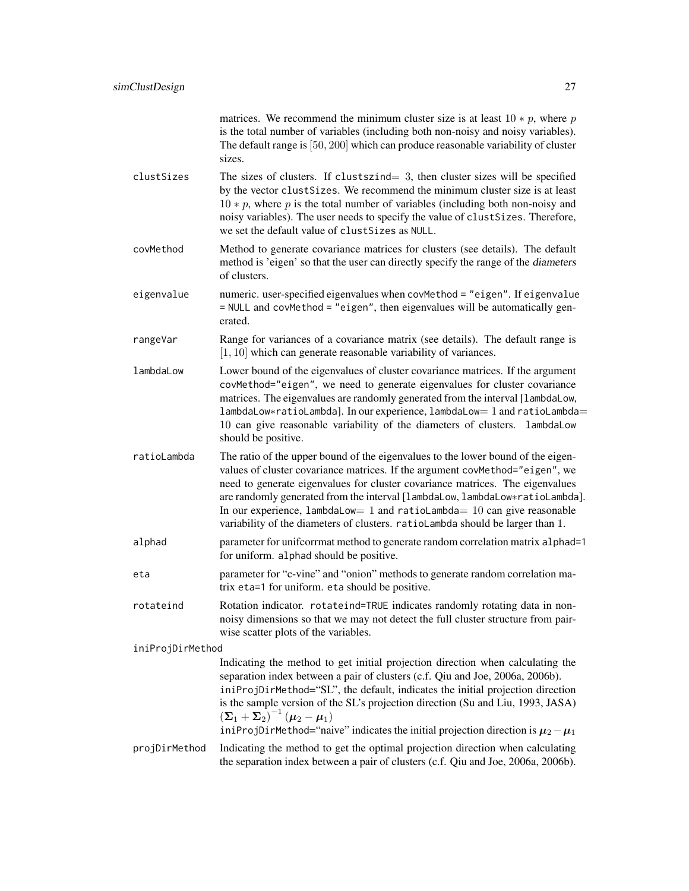| is the total number of variables (including both non-noisy and noisy variables).<br>The default range is [50, 200] which can produce reasonable variability of cluster<br>sizes. | matrices. We recommend the minimum cluster size is at least $10 * p$ , where p   |
|----------------------------------------------------------------------------------------------------------------------------------------------------------------------------------|----------------------------------------------------------------------------------|
|                                                                                                                                                                                  |                                                                                  |
|                                                                                                                                                                                  |                                                                                  |
|                                                                                                                                                                                  |                                                                                  |
|                                                                                                                                                                                  | The sizes of clusters. If clustszind $=$ 3, then cluster sizes will be specified |

- clustSizes The sizes of clusters. If clustszind= 3, then cluster sizes will be specified by the vector clustSizes. We recommend the minimum cluster size is at least  $10 * p$ , where p is the total number of variables (including both non-noisy and noisy variables). The user needs to specify the value of clustSizes. Therefore, we set the default value of clustSizes as NULL.
- covMethod Method to generate covariance matrices for clusters (see details). The default method is 'eigen' so that the user can directly specify the range of the diameters of clusters.
- eigenvalue numeric. user-specified eigenvalues when covMethod = "eigen". If eigenvalue = NULL and covMethod = "eigen", then eigenvalues will be automatically generated.
- rangeVar Range for variances of a covariance matrix (see details). The default range is [1, 10] which can generate reasonable variability of variances.
- lambdaLow Lower bound of the eigenvalues of cluster covariance matrices. If the argument covMethod="eigen", we need to generate eigenvalues for cluster covariance matrices. The eigenvalues are randomly generated from the interval [lambdaLow, lambdaLow∗ratioLambda]. In our experience, lambdaLow= 1 and ratioLambda= 10 can give reasonable variability of the diameters of clusters. lambdaLow should be positive.
- ratioLambda The ratio of the upper bound of the eigenvalues to the lower bound of the eigenvalues of cluster covariance matrices. If the argument covMethod="eigen", we need to generate eigenvalues for cluster covariance matrices. The eigenvalues are randomly generated from the interval [lambdaLow, lambdaLow∗ratioLambda]. In our experience, lambdaLow= 1 and ratioLambda=  $10$  can give reasonable variability of the diameters of clusters. ratioLambda should be larger than 1.
- alphad parameter for unifcorrmat method to generate random correlation matrix alphad=1 for uniform. alphad should be positive.
- eta parameter for "c-vine" and "onion" methods to generate random correlation matrix eta=1 for uniform. eta should be positive.
- rotateind Rotation indicator. rotateind=TRUE indicates randomly rotating data in nonnoisy dimensions so that we may not detect the full cluster structure from pairwise scatter plots of the variables.

iniProjDirMethod

Indicating the method to get initial projection direction when calculating the separation index between a pair of clusters (c.f. Qiu and Joe, 2006a, 2006b). iniProjDirMethod="SL", the default, indicates the initial projection direction is the sample version of the SL's projection direction (Su and Liu, 1993, JASA)  $\left(\mathbf{\Sigma}_1 + \mathbf{\Sigma}_2\right)^{-1} \left(\boldsymbol{\mu}_2 - \boldsymbol{\mu}_1\right)$ iniProjDirMethod="naive" indicates the initial projection direction is  $\mu_2-\mu_1$ 

projDirMethod Indicating the method to get the optimal projection direction when calculating the separation index between a pair of clusters (c.f. Qiu and Joe, 2006a, 2006b).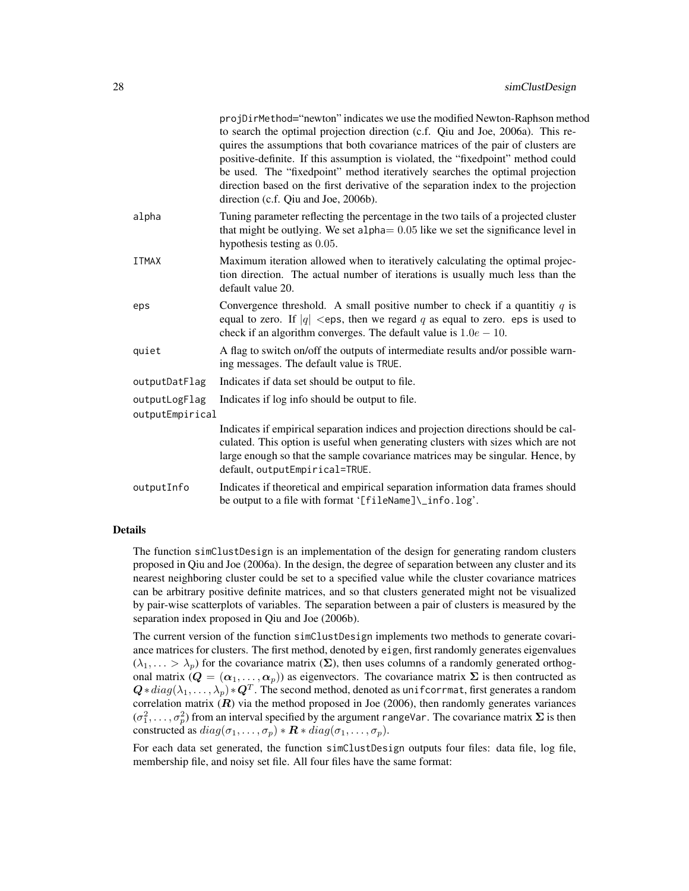|                                  | projDirMethod="newton" indicates we use the modified Newton-Raphson method<br>to search the optimal projection direction (c.f. Qiu and Joe, 2006a). This re-<br>quires the assumptions that both covariance matrices of the pair of clusters are<br>positive-definite. If this assumption is violated, the "fixedpoint" method could<br>be used. The "fixedpoint" method iteratively searches the optimal projection<br>direction based on the first derivative of the separation index to the projection<br>direction (c.f. Qiu and Joe, 2006b). |
|----------------------------------|---------------------------------------------------------------------------------------------------------------------------------------------------------------------------------------------------------------------------------------------------------------------------------------------------------------------------------------------------------------------------------------------------------------------------------------------------------------------------------------------------------------------------------------------------|
| alpha                            | Tuning parameter reflecting the percentage in the two tails of a projected cluster<br>that might be outlying. We set alpha $= 0.05$ like we set the significance level in<br>hypothesis testing as 0.05.                                                                                                                                                                                                                                                                                                                                          |
| <b>ITMAX</b>                     | Maximum iteration allowed when to iteratively calculating the optimal projec-<br>tion direction. The actual number of iterations is usually much less than the<br>default value 20.                                                                                                                                                                                                                                                                                                                                                               |
| eps                              | Convergence threshold. A small positive number to check if a quantitiy $q$ is<br>equal to zero. If $ q  <$ eps, then we regard q as equal to zero. eps is used to<br>check if an algorithm converges. The default value is $1.0e - 10$ .                                                                                                                                                                                                                                                                                                          |
| quiet                            | A flag to switch on/off the outputs of intermediate results and/or possible warn-<br>ing messages. The default value is TRUE.                                                                                                                                                                                                                                                                                                                                                                                                                     |
| outputDatFlag                    | Indicates if data set should be output to file.                                                                                                                                                                                                                                                                                                                                                                                                                                                                                                   |
| outputLogFlag<br>outputEmpirical | Indicates if log info should be output to file.                                                                                                                                                                                                                                                                                                                                                                                                                                                                                                   |
|                                  | Indicates if empirical separation indices and projection directions should be cal-<br>culated. This option is useful when generating clusters with sizes which are not<br>large enough so that the sample covariance matrices may be singular. Hence, by<br>default, outputEmpirical=TRUE.                                                                                                                                                                                                                                                        |
| outputInfo                       | Indicates if theoretical and empirical separation information data frames should<br>be output to a file with format '[fileName]\_info.log'.                                                                                                                                                                                                                                                                                                                                                                                                       |

#### Details

The function simClustDesign is an implementation of the design for generating random clusters proposed in Qiu and Joe (2006a). In the design, the degree of separation between any cluster and its nearest neighboring cluster could be set to a specified value while the cluster covariance matrices can be arbitrary positive definite matrices, and so that clusters generated might not be visualized by pair-wise scatterplots of variables. The separation between a pair of clusters is measured by the separation index proposed in Qiu and Joe (2006b).

The current version of the function simClustDesign implements two methods to generate covariance matrices for clusters. The first method, denoted by eigen, first randomly generates eigenvalues  $(\lambda_1, \ldots > \lambda_p)$  for the covariance matrix  $(\Sigma)$ , then uses columns of a randomly generated orthogonal matrix  $(Q = (\alpha_1, \ldots, \alpha_p))$  as eigenvectors. The covariance matrix  $\Sigma$  is then contructed as  $\bm{Q}*diag(\lambda_1,\dots,\lambda_p)*\bm{Q}^T.$  The second method, denoted as unifoorrmat, first generates a random correlation matrix  $(R)$  via the method proposed in Joe (2006), then randomly generates variances  $(\sigma_1^2, \ldots, \sigma_p^2)$  from an interval specified by the argument rangeVar. The covariance matrix  $\Sigma$  is then constructed as  $diag(\sigma_1, \ldots, \sigma_p) * \mathbf{R} * diag(\sigma_1, \ldots, \sigma_p)$ .

For each data set generated, the function simClustDesign outputs four files: data file, log file, membership file, and noisy set file. All four files have the same format: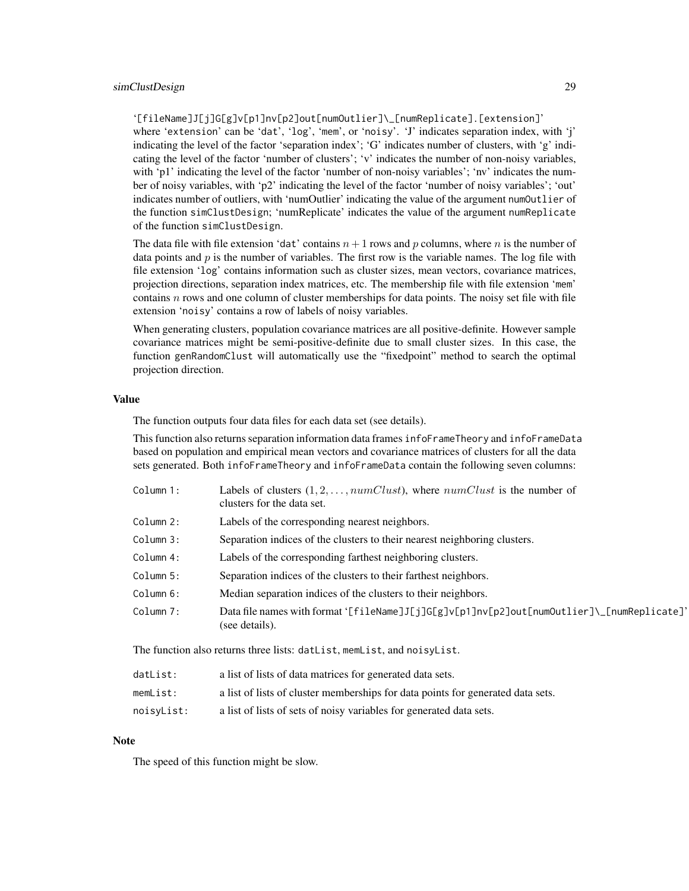'[fileName]J[j]G[g]v[p1]nv[p2]out[numOutlier]\\_[numReplicate].[extension]'

where 'extension' can be 'dat', 'log', 'mem', or 'noisy'. 'J' indicates separation index, with 'j' indicating the level of the factor 'separation index'; 'G' indicates number of clusters, with 'g' indicating the level of the factor 'number of clusters'; 'v' indicates the number of non-noisy variables, with 'p1' indicating the level of the factor 'number of non-noisy variables'; 'nv' indicates the number of noisy variables, with 'p2' indicating the level of the factor 'number of noisy variables'; 'out' indicates number of outliers, with 'numOutlier' indicating the value of the argument numOutlier of the function simClustDesign; 'numReplicate' indicates the value of the argument numReplicate of the function simClustDesign.

The data file with file extension 'dat' contains  $n+1$  rows and p columns, where n is the number of data points and  $p$  is the number of variables. The first row is the variable names. The log file with file extension 'log' contains information such as cluster sizes, mean vectors, covariance matrices, projection directions, separation index matrices, etc. The membership file with file extension 'mem' contains  $n$  rows and one column of cluster memberships for data points. The noisy set file with file extension 'noisy' contains a row of labels of noisy variables.

When generating clusters, population covariance matrices are all positive-definite. However sample covariance matrices might be semi-positive-definite due to small cluster sizes. In this case, the function genRandomClust will automatically use the "fixedpoint" method to search the optimal projection direction.

#### Value

The function outputs four data files for each data set (see details).

This function also returns separation information data frames infoFrameTheory and infoFrameData based on population and empirical mean vectors and covariance matrices of clusters for all the data sets generated. Both infoFrameTheory and infoFrameData contain the following seven columns:

| Column 1: | Labels of clusters $(1, 2, \ldots, numClust)$ , where numClust is the number of<br>clusters for the data set. |
|-----------|---------------------------------------------------------------------------------------------------------------|
| Column 2: | Labels of the corresponding nearest neighbors.                                                                |
| Column 3: | Separation indices of the clusters to their nearest neighboring clusters.                                     |
| Column 4: | Labels of the corresponding farthest neighboring clusters.                                                    |
| Column 5: | Separation indices of the clusters to their farthest neighbors.                                               |
| Column 6: | Median separation indices of the clusters to their neighbors.                                                 |
| Column 7: | Data file names with format '[fileName]J[j]G[g]v[p1]nv[p2]out[numOutlier]\_[numReplicate]'<br>(see details).  |
|           |                                                                                                               |

The function also returns three lists: datList, memList, and noisyList.

| datList:   | a list of lists of data matrices for generated data sets.                       |
|------------|---------------------------------------------------------------------------------|
| memList:   | a list of lists of cluster memberships for data points for generated data sets. |
| noisyList: | a list of lists of sets of noisy variables for generated data sets.             |

#### **Note**

The speed of this function might be slow.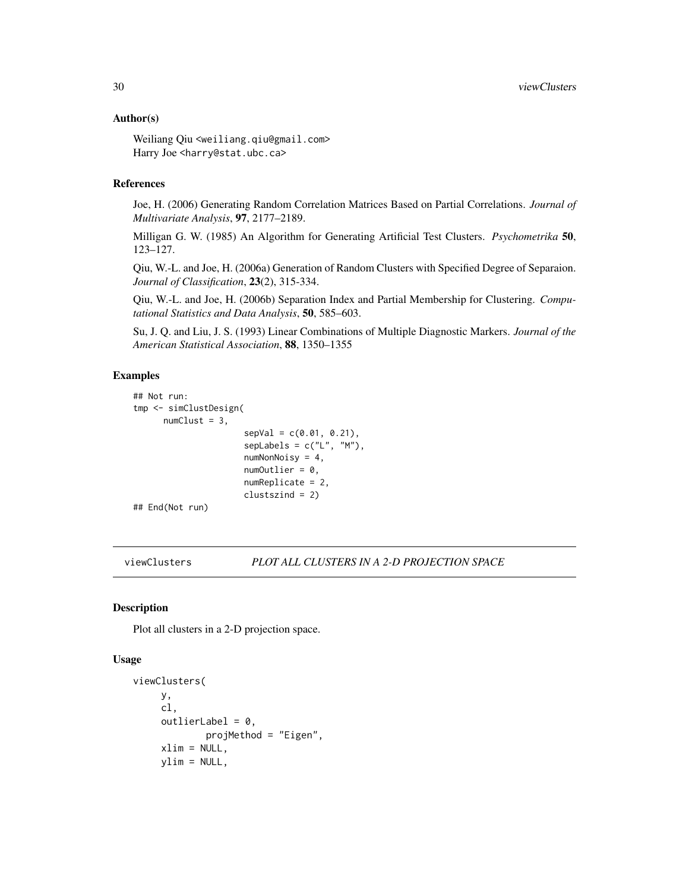#### <span id="page-29-0"></span>Author(s)

Weiliang Qiu <weiliang.qiu@gmail.com> Harry Joe <harry@stat.ubc.ca>

#### References

Joe, H. (2006) Generating Random Correlation Matrices Based on Partial Correlations. *Journal of Multivariate Analysis*, 97, 2177–2189.

Milligan G. W. (1985) An Algorithm for Generating Artificial Test Clusters. *Psychometrika* 50, 123–127.

Qiu, W.-L. and Joe, H. (2006a) Generation of Random Clusters with Specified Degree of Separaion. *Journal of Classification*, 23(2), 315-334.

Qiu, W.-L. and Joe, H. (2006b) Separation Index and Partial Membership for Clustering. *Computational Statistics and Data Analysis*, 50, 585–603.

Su, J. Q. and Liu, J. S. (1993) Linear Combinations of Multiple Diagnostic Markers. *Journal of the American Statistical Association*, 88, 1350–1355

#### Examples

```
## Not run:
tmp <- simClustDesign(
      numClust = 3,
                      sepVal = c(0.01, 0.21),
                      sepLabels = c("L", "M"),
                      numNonNoisy = 4,
                      numOutput = 0,
                      numReplicate = 2,
                      clustszind = 2)
## End(Not run)
```
<span id="page-29-1"></span>viewClusters *PLOT ALL CLUSTERS IN A 2-D PROJECTION SPACE*

#### Description

Plot all clusters in a 2-D projection space.

#### Usage

```
viewClusters(
     y,
     cl,
     outlierLabel = 0.
             projMethod = "Eigen",
     xlim = NULL,
     ylim = NULL,
```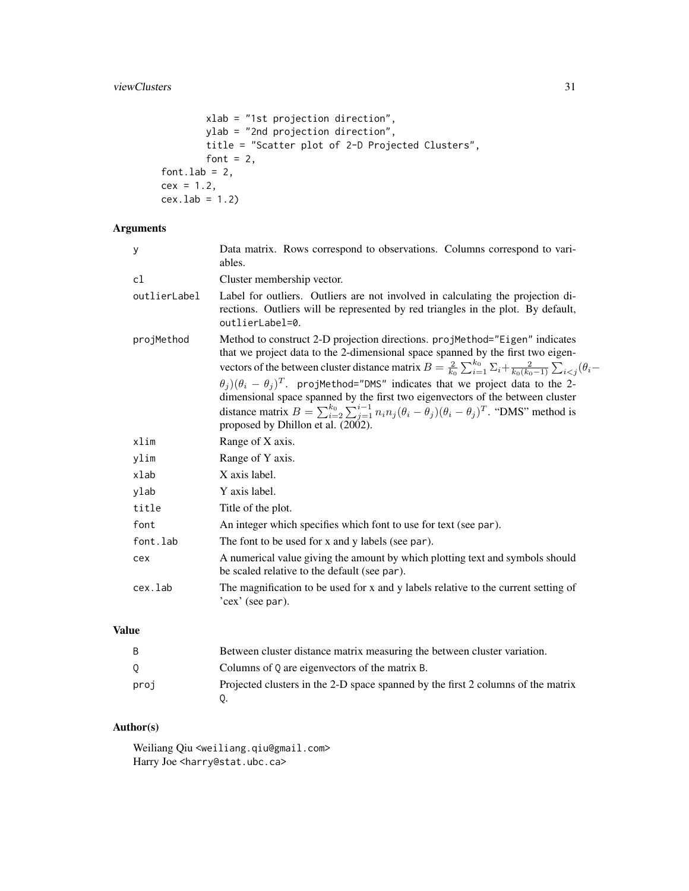```
xlab = "1st projection direction",
       ylab = "2nd projection direction",
       title = "Scatter plot of 2-D Projected Clusters",
       font = 2,
font.lab = 2,
cex = 1.2,cex.1ab = 1.2
```
## Arguments

| У            | Data matrix. Rows correspond to observations. Columns correspond to vari-<br>ables.                                                                                                                                                                                                                                                                          |
|--------------|--------------------------------------------------------------------------------------------------------------------------------------------------------------------------------------------------------------------------------------------------------------------------------------------------------------------------------------------------------------|
| cl           | Cluster membership vector.                                                                                                                                                                                                                                                                                                                                   |
| outlierLabel | Label for outliers. Outliers are not involved in calculating the projection di-<br>rections. Outliers will be represented by red triangles in the plot. By default,<br>outlierLabel=0.                                                                                                                                                                       |
| projMethod   | Method to construct 2-D projection directions. projMethod="Eigen" indicates<br>that we project data to the 2-dimensional space spanned by the first two eigen-<br>vectors of the between cluster distance matrix $B = \frac{2}{k_0} \sum_{i=1}^{k_0} \sum_i \frac{2}{k_0 (k_0 - 1)} \sum_{i < j} (\theta_i -$                                                |
|              | $\theta_i$ ) $(\theta_i - \theta_j)^T$ . projMethod="DMS" indicates that we project data to the 2-<br>dimensional space spanned by the first two eigenvectors of the between cluster<br>distance matrix $B = \sum_{i=2}^{k_0} \sum_{j=1}^{i-1} n_i n_j (\theta_i - \theta_j)(\theta_i - \theta_j)^T$ . "DMS" method is<br>proposed by Dhillon et al. (2002). |
| xlim         | Range of X axis.                                                                                                                                                                                                                                                                                                                                             |
| ylim         | Range of Y axis.                                                                                                                                                                                                                                                                                                                                             |
| xlab         | X axis label.                                                                                                                                                                                                                                                                                                                                                |
| ylab         | Y axis label.                                                                                                                                                                                                                                                                                                                                                |
| title        | Title of the plot.                                                                                                                                                                                                                                                                                                                                           |
| font         | An integer which specifies which font to use for text (see par).                                                                                                                                                                                                                                                                                             |
| font.lab     | The font to be used for x and y labels (see par).                                                                                                                                                                                                                                                                                                            |
| cex          | A numerical value giving the amount by which plotting text and symbols should<br>be scaled relative to the default (see par).                                                                                                                                                                                                                                |
| cex.lab      | The magnification to be used for x and y labels relative to the current setting of<br>'cex' (see par).                                                                                                                                                                                                                                                       |

## Value

| B    | Between cluster distance matrix measuring the between cluster variation.         |
|------|----------------------------------------------------------------------------------|
| 0    | Columns of 0 are eigenvectors of the matrix B.                                   |
| proj | Projected clusters in the 2-D space spanned by the first 2 columns of the matrix |

## Author(s)

Weiliang Qiu <weiliang.qiu@gmail.com> Harry Joe <harry@stat.ubc.ca>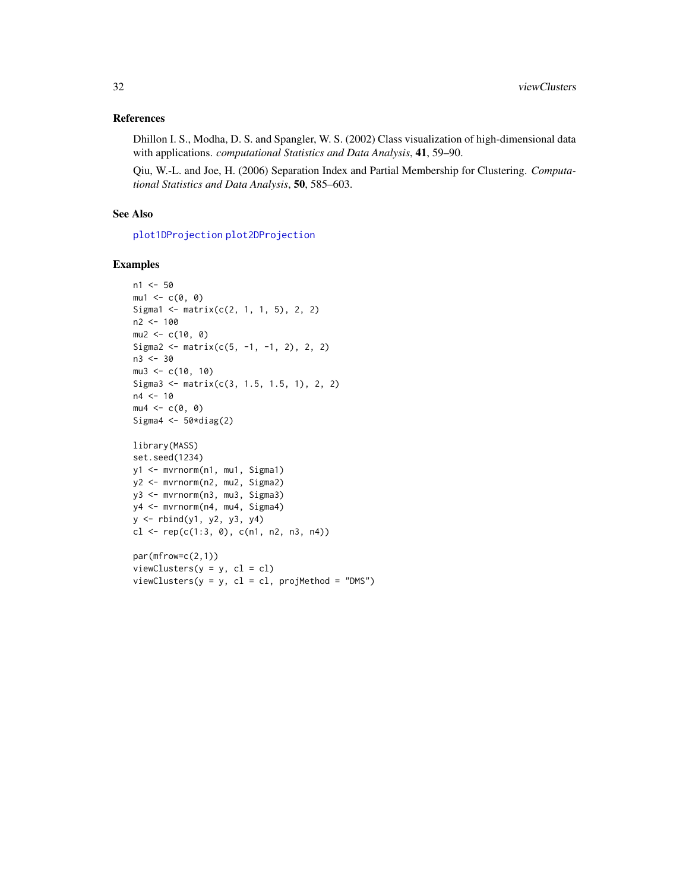#### <span id="page-31-0"></span>References

Dhillon I. S., Modha, D. S. and Spangler, W. S. (2002) Class visualization of high-dimensional data with applications. *computational Statistics and Data Analysis*, 41, 59–90.

Qiu, W.-L. and Joe, H. (2006) Separation Index and Partial Membership for Clustering. *Computational Statistics and Data Analysis*, 50, 585–603.

#### See Also

[plot1DProjection](#page-14-1) [plot2DProjection](#page-17-1)

#### Examples

```
n1 <- 50
mu1 \leftarrow c(\emptyset, \emptyset)Sigma1 <- matrix(c(2, 1, 1, 5), 2, 2)
n2 <- 100
mu2 < -c(10, 0)Sigma2 <- matrix(c(5, -1, -1, 2), 2, 2)
n3 <- 30
mu3 < -c(10, 10)Sigma3 <- matrix(c(3, 1.5, 1.5, 1), 2, 2)
n4 < -10mu4 \leftarrow c(\emptyset, \emptyset)Sigma4 \leq 50*diag(2)
library(MASS)
set.seed(1234)
y1 <- mvrnorm(n1, mu1, Sigma1)
y2 <- mvrnorm(n2, mu2, Sigma2)
y3 <- mvrnorm(n3, mu3, Sigma3)
y4 <- mvrnorm(n4, mu4, Sigma4)
y \leftarrow \text{rbind}(y1, y2, y3, y4)cl <- rep(c(1:3, 0), c(n1, n2, n3, n4))
par(mfrow=c(2,1))
```
 $viewClusters(y = y, cl = cl, projMethod = "DMS")$ 

 $viewClusters(y = y, cl = cl)$